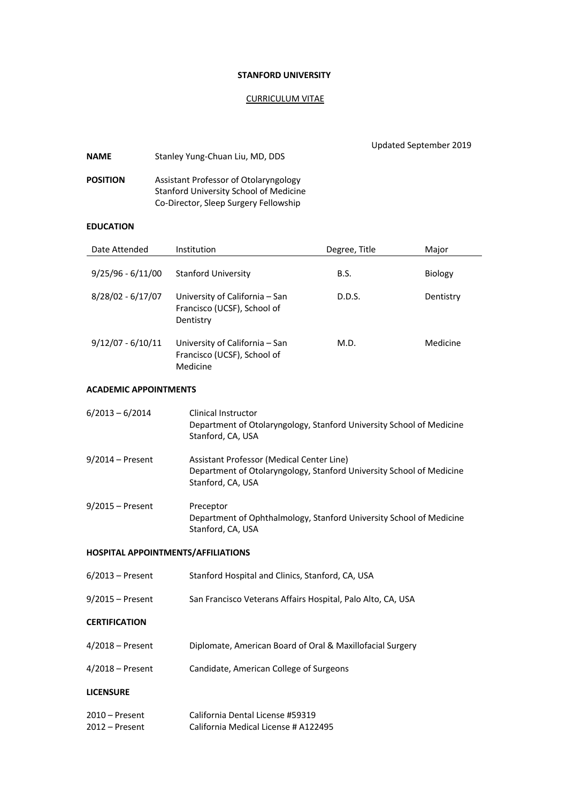## **STANFORD UNIVERSITY**

## CURRICULUM VITAE

| <b>NAME</b>                          | Stanley Yung-Chuan Liu, MD, DDS                                                                                                        |               | Updated September 2019 |           |
|--------------------------------------|----------------------------------------------------------------------------------------------------------------------------------------|---------------|------------------------|-----------|
| <b>POSITION</b>                      | Assistant Professor of Otolaryngology<br>Stanford University School of Medicine<br>Co-Director, Sleep Surgery Fellowship               |               |                        |           |
| <b>EDUCATION</b>                     |                                                                                                                                        |               |                        |           |
| Date Attended                        | Institution                                                                                                                            | Degree, Title |                        | Major     |
| $9/25/96 - 6/11/00$                  | <b>Stanford University</b>                                                                                                             | B.S.          |                        | Biology   |
| $8/28/02 - 6/17/07$                  | University of California - San<br>Francisco (UCSF), School of<br>Dentistry                                                             | D.D.S.        |                        | Dentistry |
| $9/12/07 - 6/10/11$                  | University of California - San<br>Francisco (UCSF), School of<br>Medicine                                                              | M.D.          |                        | Medicine  |
| <b>ACADEMIC APPOINTMENTS</b>         |                                                                                                                                        |               |                        |           |
| $6/2013 - 6/2014$                    | Clinical Instructor<br>Department of Otolaryngology, Stanford University School of Medicine<br>Stanford, CA, USA                       |               |                        |           |
| $9/2014$ – Present                   | Assistant Professor (Medical Center Line)<br>Department of Otolaryngology, Stanford University School of Medicine<br>Stanford, CA, USA |               |                        |           |
| $9/2015$ – Present                   | Preceptor<br>Department of Ophthalmology, Stanford University School of Medicine<br>Stanford, CA, USA                                  |               |                        |           |
| HOSPITAL APPOINTMENTS/AFFILIATIONS   |                                                                                                                                        |               |                        |           |
| $6/2013$ – Present                   | Stanford Hospital and Clinics, Stanford, CA, USA                                                                                       |               |                        |           |
| 9/2015 - Present                     | San Francisco Veterans Affairs Hospital, Palo Alto, CA, USA                                                                            |               |                        |           |
| <b>CERTIFICATION</b>                 |                                                                                                                                        |               |                        |           |
| $4/2018$ – Present                   | Diplomate, American Board of Oral & Maxillofacial Surgery                                                                              |               |                        |           |
| $4/2018$ – Present                   | Candidate, American College of Surgeons                                                                                                |               |                        |           |
| <b>LICENSURE</b>                     |                                                                                                                                        |               |                        |           |
| $2010$ – Present<br>$2012$ – Present | California Dental License #59319<br>California Medical License # A122495                                                               |               |                        |           |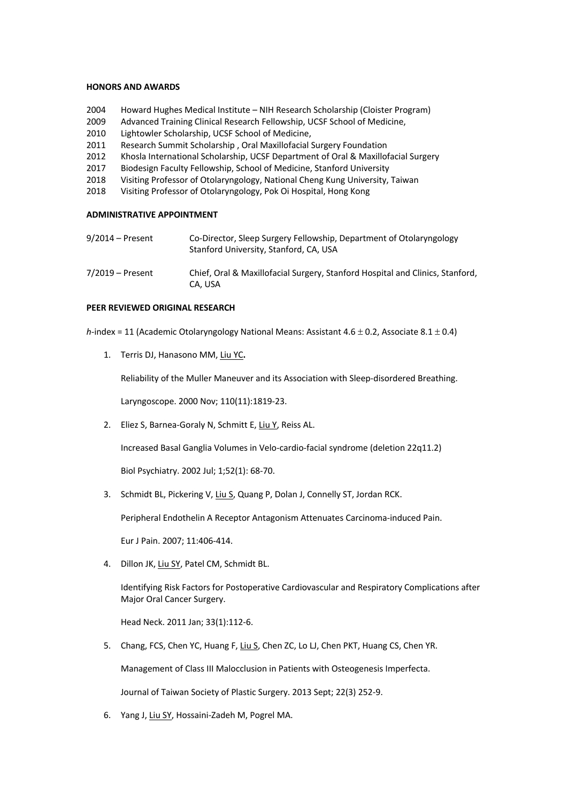#### **HONORS AND AWARDS**

- 2004 Howard Hughes Medical Institute NIH Research Scholarship (Cloister Program)
- 2009 Advanced Training Clinical Research Fellowship, UCSF School of Medicine,
- 2010 Lightowler Scholarship, UCSF School of Medicine,
- 2011 Research Summit Scholarship , Oral Maxillofacial Surgery Foundation
- 2012 Khosla International Scholarship, UCSF Department of Oral & Maxillofacial Surgery
- 2017 Biodesign Faculty Fellowship, School of Medicine, Stanford University
- 2018 Visiting Professor of Otolaryngology, National Cheng Kung University, Taiwan
- 2018 Visiting Professor of Otolaryngology, Pok Oi Hospital, Hong Kong

### **ADMINISTRATIVE APPOINTMENT**

| $9/2014$ – Present | Co-Director, Sleep Surgery Fellowship, Department of Otolaryngology<br>Stanford University, Stanford, CA, USA |
|--------------------|---------------------------------------------------------------------------------------------------------------|
| $7/2019$ – Present | Chief, Oral & Maxillofacial Surgery, Stanford Hospital and Clinics, Stanford,<br>CA. USA                      |

#### **PEER REVIEWED ORIGINAL RESEARCH**

*h*-index = 11 (Academic Otolaryngology National Means: Assistant 4.6 ± 0.2, Associate 8.1 ± 0.4)

1. Terris DJ, Hanasono MM, Liu YC**.**

Reliability of the Muller Maneuver and its Association with Sleep-disordered Breathing.

Laryngoscope. 2000 Nov; 110(11):1819-23.

2. Eliez S, Barnea-Goraly N, Schmitt E, Liu Y, Reiss AL.

Increased Basal Ganglia Volumes in Velo-cardio-facial syndrome (deletion 22q11.2)

Biol Psychiatry. 2002 Jul; 1;52(1): 68-70.

3. Schmidt BL, Pickering V, Liu S, Quang P, Dolan J, Connelly ST, Jordan RCK.

Peripheral Endothelin A Receptor Antagonism Attenuates Carcinoma-induced Pain.

Eur J Pain. 2007; 11:406-414.

4. Dillon JK, Liu SY, Patel CM, Schmidt BL.

Identifying Risk Factors for Postoperative Cardiovascular and Respiratory Complications after Major Oral Cancer Surgery.

Head Neck. 2011 Jan; 33(1):112-6.

5. Chang, FCS, Chen YC, Huang F, Liu S, Chen ZC, Lo LJ, Chen PKT, Huang CS, Chen YR.

Management of Class III Malocclusion in Patients with Osteogenesis Imperfecta.

Journal of Taiwan Society of Plastic Surgery. 2013 Sept; 22(3) 252-9.

6. Yang J, Liu SY, Hossaini-Zadeh M, Pogrel MA.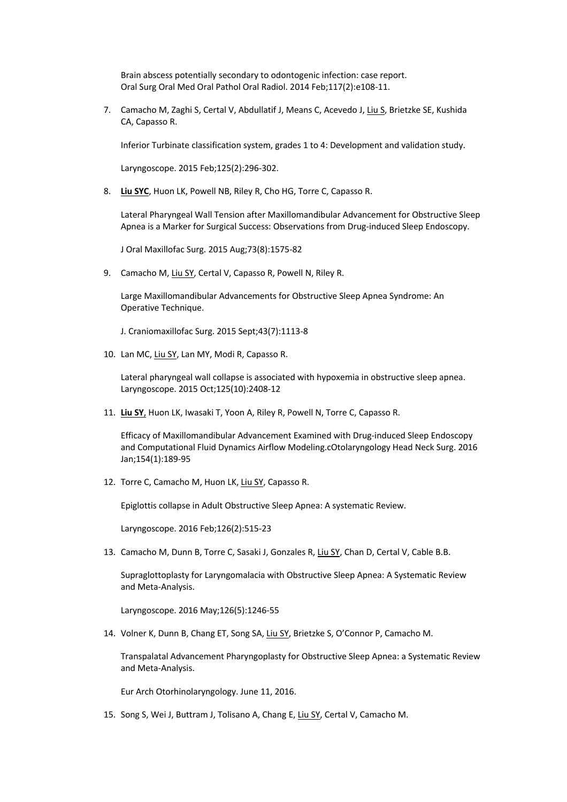Brain abscess potentially secondary to odontogenic infection: case report. Oral Surg Oral Med Oral Pathol Oral Radiol. 2014 Feb;117(2):e108-11.

7. Camacho M, Zaghi S, Certal V, Abdullatif J, Means C, Acevedo J, Liu S, Brietzke SE, Kushida CA, Capasso R.

Inferior Turbinate classification system, grades 1 to 4: Development and validation study.

Laryngoscope. 2015 Feb;125(2):296-302.

8. **Liu SYC**, Huon LK, Powell NB, Riley R, Cho HG, Torre C, Capasso R.

Lateral Pharyngeal Wall Tension after Maxillomandibular Advancement for Obstructive Sleep Apnea is a Marker for Surgical Success: Observations from Drug-induced Sleep Endoscopy.

J Oral Maxillofac Surg. 2015 Aug;73(8):1575-82

9. Camacho M, Liu SY, Certal V, Capasso R, Powell N, Riley R.

Large Maxillomandibular Advancements for Obstructive Sleep Apnea Syndrome: An Operative Technique.

J. Craniomaxillofac Surg. 2015 Sept;43(7):1113-8

10. Lan MC, Liu SY, Lan MY, Modi R, Capasso R.

Lateral pharyngeal wall collapse is associated with hypoxemia in obstructive sleep apnea. Laryngoscope. 2015 Oct;125(10):2408-12

11. **Liu SY**, Huon LK, Iwasaki T, Yoon A, Riley R, Powell N, Torre C, Capasso R.

Efficacy of Maxillomandibular Advancement Examined with Drug-induced Sleep Endoscopy and Computational Fluid Dynamics Airflow Modeling.cOtolaryngology Head Neck Surg. 2016 Jan;154(1):189-95

12. Torre C, Camacho M, Huon LK, Liu SY, Capasso R.

Epiglottis collapse in Adult Obstructive Sleep Apnea: A systematic Review.

Laryngoscope. 2016 Feb;126(2):515-23

13. Camacho M, Dunn B, Torre C, Sasaki J, Gonzales R, Liu SY, Chan D, Certal V, Cable B.B.

Supraglottoplasty for Laryngomalacia with Obstructive Sleep Apnea: A Systematic Review and Meta-Analysis.

Laryngoscope. 2016 May;126(5):1246-55

14. Volner K, Dunn B, Chang ET, Song SA, Liu SY, Brietzke S, O'Connor P, Camacho M.

Transpalatal Advancement Pharyngoplasty for Obstructive Sleep Apnea: a Systematic Review and Meta-Analysis.

Eur Arch Otorhinolaryngology. June 11, 2016.

15. Song S, Wei J, Buttram J, Tolisano A, Chang E, Liu SY, Certal V, Camacho M.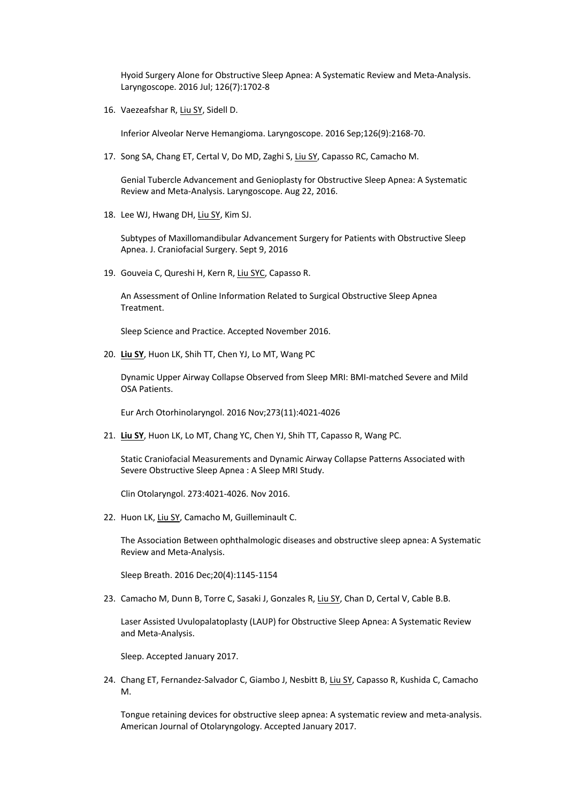Hyoid Surgery Alone for Obstructive Sleep Apnea: A Systematic Review and Meta-Analysis. Laryngoscope. 2016 Jul; 126(7):1702-8

16. Vaezeafshar R, Liu SY, Sidell D.

Inferior Alveolar Nerve Hemangioma. Laryngoscope. 2016 Sep;126(9):2168-70.

17. Song SA, Chang ET, Certal V, Do MD, Zaghi S, Liu SY, Capasso RC, Camacho M.

Genial Tubercle Advancement and Genioplasty for Obstructive Sleep Apnea: A Systematic Review and Meta-Analysis. Laryngoscope. Aug 22, 2016.

18. Lee WJ, Hwang DH, Liu SY, Kim SJ.

Subtypes of Maxillomandibular Advancement Surgery for Patients with Obstructive Sleep Apnea. J. Craniofacial Surgery. Sept 9, 2016

19. Gouveia C, Qureshi H, Kern R, Liu SYC, Capasso R.

An Assessment of Online Information Related to Surgical Obstructive Sleep Apnea Treatment.

Sleep Science and Practice. Accepted November 2016.

20. **Liu SY**, Huon LK, Shih TT, Chen YJ, Lo MT, Wang PC

Dynamic Upper Airway Collapse Observed from Sleep MRI: BMI-matched Severe and Mild OSA Patients.

Eur Arch Otorhinolaryngol. 2016 Nov;273(11):4021-4026

21. **Liu SY**, Huon LK, Lo MT, Chang YC, Chen YJ, Shih TT, Capasso R, Wang PC.

Static Craniofacial Measurements and Dynamic Airway Collapse Patterns Associated with Severe Obstructive Sleep Apnea : A Sleep MRI Study.

Clin Otolaryngol. 273:4021-4026. Nov 2016.

22. Huon LK, Liu SY, Camacho M, Guilleminault C.

The Association Between ophthalmologic diseases and obstructive sleep apnea: A Systematic Review and Meta-Analysis.

Sleep Breath. 2016 Dec;20(4):1145-1154

23. Camacho M, Dunn B, Torre C, Sasaki J, Gonzales R, Liu SY, Chan D, Certal V, Cable B.B.

Laser Assisted Uvulopalatoplasty (LAUP) for Obstructive Sleep Apnea: A Systematic Review and Meta-Analysis.

Sleep. Accepted January 2017.

24. Chang ET, Fernandez-Salvador C, Giambo J, Nesbitt B, Liu SY, Capasso R, Kushida C, Camacho M.

Tongue retaining devices for obstructive sleep apnea: A systematic review and meta-analysis. American Journal of Otolaryngology. Accepted January 2017.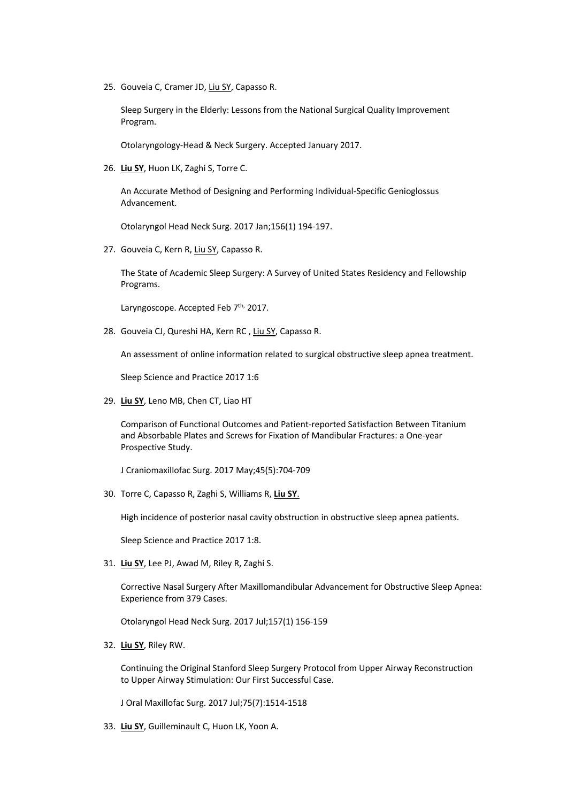25. Gouveia C, Cramer JD, Liu SY, Capasso R.

Sleep Surgery in the Elderly: Lessons from the National Surgical Quality Improvement Program.

Otolaryngology-Head & Neck Surgery. Accepted January 2017.

26. **Liu SY**, Huon LK, Zaghi S, Torre C.

An Accurate Method of Designing and Performing Individual-Specific Genioglossus Advancement.

Otolaryngol Head Neck Surg. 2017 Jan;156(1) 194-197.

27. Gouveia C, Kern R, Liu SY, Capasso R.

The State of Academic Sleep Surgery: A Survey of United States Residency and Fellowship Programs.

Laryngoscope. Accepted Feb 7<sup>th,</sup> 2017.

28. Gouveia CJ, Qureshi HA, Kern RC , Liu SY, Capasso R.

An assessment of online information related to surgical obstructive sleep apnea treatment.

Sleep Science and Practice 2017 1:6

29. **Liu SY**, Leno MB, Chen CT, Liao HT

Comparison of Functional Outcomes and Patient-reported Satisfaction Between Titanium and Absorbable Plates and Screws for Fixation of Mandibular Fractures: a One-year Prospective Study.

J Craniomaxillofac Surg. 2017 May;45(5):704-709

30. Torre C, Capasso R, Zaghi S, Williams R, **Liu SY**.

High incidence of posterior nasal cavity obstruction in obstructive sleep apnea patients.

Sleep Science and Practice 2017 1:8.

31. **Liu SY**, Lee PJ, Awad M, Riley R, Zaghi S.

Corrective Nasal Surgery After Maxillomandibular Advancement for Obstructive Sleep Apnea: Experience from 379 Cases.

Otolaryngol Head Neck Surg. 2017 Jul;157(1) 156-159

32. **Liu SY**, Riley RW.

Continuing the Original Stanford Sleep Surgery Protocol from Upper Airway Reconstruction to Upper Airway Stimulation: Our First Successful Case.

J Oral Maxillofac Surg. 2017 Jul;75(7):1514-1518

33. **Liu SY**, Guilleminault C, Huon LK, Yoon A.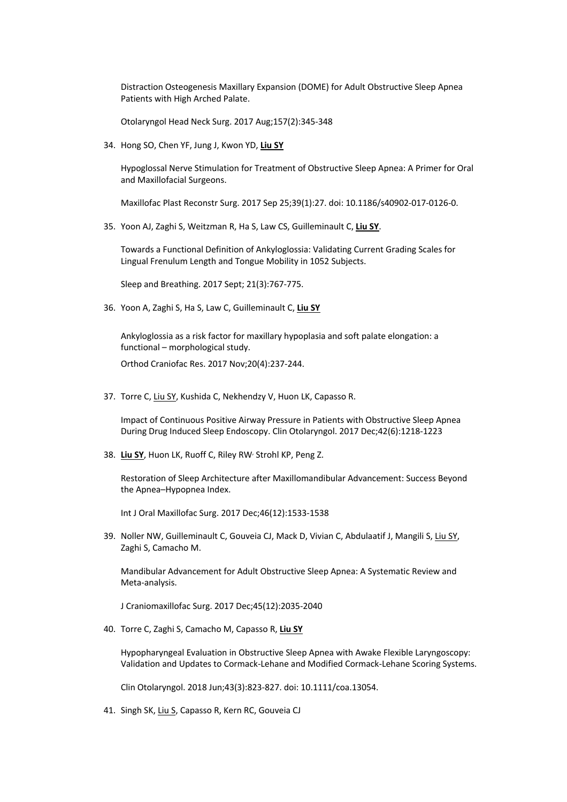Distraction Osteogenesis Maxillary Expansion (DOME) for Adult Obstructive Sleep Apnea Patients with High Arched Palate.

Otolaryngol Head Neck Surg. 2017 Aug;157(2):345-348

34. Hong SO, Chen YF, Jung J, Kwon YD, **Liu SY**

Hypoglossal Nerve Stimulation for Treatment of Obstructive Sleep Apnea: A Primer for Oral and Maxillofacial Surgeons.

Maxillofac Plast Reconstr Surg. 2017 Sep 25;39(1):27. doi: 10.1186/s40902-017-0126-0.

35. Yoon AJ, Zaghi S, Weitzman R, Ha S, Law CS, Guilleminault C, **Liu SY**.

Towards a Functional Definition of Ankyloglossia: Validating Current Grading Scales for Lingual Frenulum Length and Tongue Mobility in 1052 Subjects.

Sleep and Breathing. 2017 Sept; 21(3):767-775.

36. Yoon A, Zaghi S, Ha S, Law C, Guilleminault C, **Liu SY**

Ankyloglossia as a risk factor for maxillary hypoplasia and soft palate elongation: a functional – morphological study.

Orthod Craniofac Res. 2017 Nov;20(4):237-244.

37. Torre C, Liu SY, Kushida C, Nekhendzy V, Huon LK, Capasso R.

Impact of Continuous Positive Airway Pressure in Patients with Obstructive Sleep Apnea During Drug Induced Sleep Endoscopy. Clin Otolaryngol. 2017 Dec;42(6):1218-1223

38. **Liu SY**, Huon LK, Ruoff C, Riley RW, Strohl KP, Peng Z.

Restoration of Sleep Architecture after Maxillomandibular Advancement: Success Beyond the Apnea–Hypopnea Index.

Int J Oral Maxillofac Surg. 2017 Dec;46(12):1533-1538

39. Noller NW, Guilleminault C, Gouveia CJ, Mack D, Vivian C, Abdulaatif J, Mangili S, Liu SY, Zaghi S, Camacho M.

Mandibular Advancement for Adult Obstructive Sleep Apnea: A Systematic Review and Meta-analysis.

J Craniomaxillofac Surg. 2017 Dec;45(12):2035-2040

40. Torre C, Zaghi S, Camacho M, Capasso R, **Liu SY**

Hypopharyngeal Evaluation in Obstructive Sleep Apnea with Awake Flexible Laryngoscopy: Validation and Updates to Cormack-Lehane and Modified Cormack-Lehane Scoring Systems.

Clin Otolaryngol. 2018 Jun;43(3):823-827. doi: 10.1111/coa.13054.

41. Singh SK, Liu S, Capasso R, Kern RC, Gouveia CJ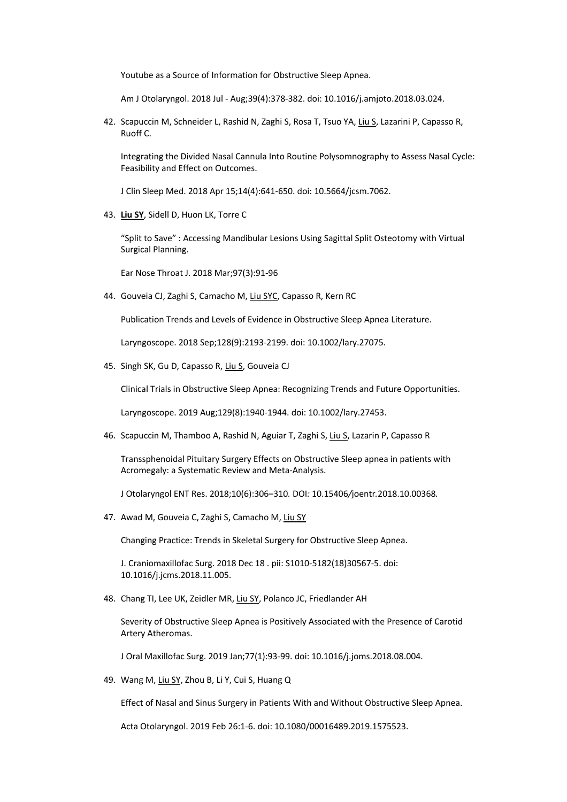Youtube as a Source of Information for Obstructive Sleep Apnea.

Am J Otolaryngol. 2018 Jul - Aug;39(4):378-382. doi: 10.1016/j.amjoto.2018.03.024.

42. Scapuccin M, Schneider L, Rashid N, Zaghi S, Rosa T, Tsuo YA, Liu S, Lazarini P, Capasso R, Ruoff C.

Integrating the Divided Nasal Cannula Into Routine Polysomnography to Assess Nasal Cycle: Feasibility and Effect on Outcomes.

J Clin Sleep Med. 2018 Apr 15;14(4):641-650. doi: 10.5664/jcsm.7062.

43. **Liu SY**, Sidell D, Huon LK, Torre C

"Split to Save" : Accessing Mandibular Lesions Using Sagittal Split Osteotomy with Virtual Surgical Planning.

Ear Nose Throat J. 2018 Mar;97(3):91-96

44. Gouveia CJ, Zaghi S, Camacho M, Liu SYC, Capasso R, Kern RC

Publication Trends and Levels of Evidence in Obstructive Sleep Apnea Literature.

Laryngoscope. 2018 Sep;128(9):2193-2199. doi: 10.1002/lary.27075.

45. Singh SK, Gu D, Capasso R, Liu S, Gouveia CJ

Clinical Trials in Obstructive Sleep Apnea: Recognizing Trends and Future Opportunities.

Laryngoscope. 2019 Aug;129(8):1940-1944. doi: 10.1002/lary.27453.

46. Scapuccin M, Thamboo A, Rashid N, Aguiar T, Zaghi S, Liu S, Lazarin P, Capasso R

Transsphenoidal Pituitary Surgery Effects on Obstructive Sleep apnea in patients with Acromegaly: a Systematic Review and Meta-Analysis.

J Otolaryngol ENT Res. 2018;10(6):306‒310*.* DOI*:* 10.15406*/*joentr*.*2018.10.00368*.*

47. Awad M, Gouveia C, Zaghi S, Camacho M, Liu SY

Changing Practice: Trends in Skeletal Surgery for Obstructive Sleep Apnea.

J. Craniomaxillofac Surg. 2018 Dec 18 . pii: S1010-5182(18)30567-5. doi: 10.1016/j.jcms.2018.11.005.

48. Chang TI, Lee UK, Zeidler MR, Liu SY, Polanco JC, Friedlander AH

Severity of Obstructive Sleep Apnea is Positively Associated with the Presence of Carotid Artery Atheromas.

J Oral Maxillofac Surg. 2019 Jan;77(1):93-99. doi: 10.1016/j.joms.2018.08.004.

49. Wang M, Liu SY, Zhou B, Li Y, Cui S, Huang Q

Effect of Nasal and Sinus Surgery in Patients With and Without Obstructive Sleep Apnea.

Acta Otolaryngol. 2019 Feb 26:1-6. doi: 10.1080/00016489.2019.1575523.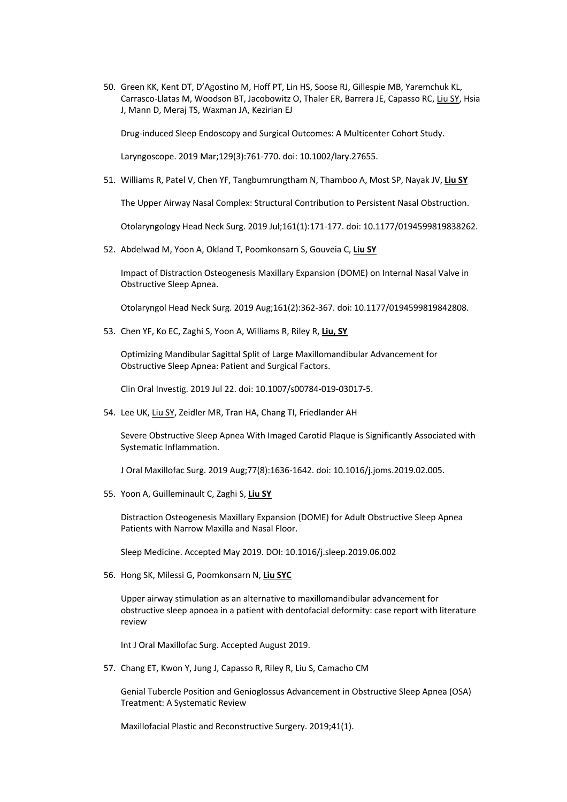50. Green KK, Kent DT, D'Agostino M, Hoff PT, Lin HS, Soose RJ, Gillespie MB, Yaremchuk KL, Carrasco-Llatas M, Woodson BT, Jacobowitz O, Thaler ER, Barrera JE, Capasso RC, Liu SY, Hsia J, Mann D, Meraj TS, Waxman JA, Kezirian EJ

Drug-induced Sleep Endoscopy and Surgical Outcomes: A Multicenter Cohort Study.

Laryngoscope. 2019 Mar;129(3):761-770. doi: 10.1002/lary.27655.

51. Williams R, Patel V, Chen YF, Tangbumrungtham N, Thamboo A, Most SP, Nayak JV, **Liu SY**

The Upper Airway Nasal Complex: Structural Contribution to Persistent Nasal Obstruction.

Otolaryngology Head Neck Surg. 2019 Jul;161(1):171-177. doi: 10.1177/0194599819838262.

52. Abdelwad M, Yoon A, Okland T, Poomkonsarn S, Gouveia C, **Liu SY**

Impact of Distraction Osteogenesis Maxillary Expansion (DOME) on Internal Nasal Valve in Obstructive Sleep Apnea.

Otolaryngol Head Neck Surg. 2019 Aug;161(2):362-367. doi: 10.1177/0194599819842808.

53. Chen YF, Ko EC, Zaghi S, Yoon A, Williams R, Riley R, **Liu, SY**

Optimizing Mandibular Sagittal Split of Large Maxillomandibular Advancement for Obstructive Sleep Apnea: Patient and Surgical Factors.

Clin Oral Investig. 2019 Jul 22. doi: 10.1007/s00784-019-03017-5.

54. Lee UK, Liu SY, Zeidler MR, Tran HA, Chang TI, Friedlander AH

Severe Obstructive Sleep Apnea With Imaged Carotid Plaque is Significantly Associated with Systematic Inflammation.

J Oral Maxillofac Surg. 2019 Aug;77(8):1636-1642. doi: 10.1016/j.joms.2019.02.005.

55. Yoon A, Guilleminault C, Zaghi S, **Liu SY**

Distraction Osteogenesis Maxillary Expansion (DOME) for Adult Obstructive Sleep Apnea Patients with Narrow Maxilla and Nasal Floor.

Sleep Medicine. Accepted May 2019. DOI: 10.1016/j.sleep.2019.06.002

56. Hong SK, Milessi G, Poomkonsarn N, **Liu SYC**

Upper airway stimulation as an alternative to maxillomandibular advancement for obstructive sleep apnoea in a patient with dentofacial deformity: case report with literature review

Int J Oral Maxillofac Surg. Accepted August 2019.

57. Chang ET, Kwon Y, Jung J, Capasso R, Riley R, Liu S, Camacho CM

Genial Tubercle Position and Genioglossus Advancement in Obstructive Sleep Apnea (OSA) Treatment: A Systematic Review

Maxillofacial Plastic and Reconstructive Surgery. 2019;41(1).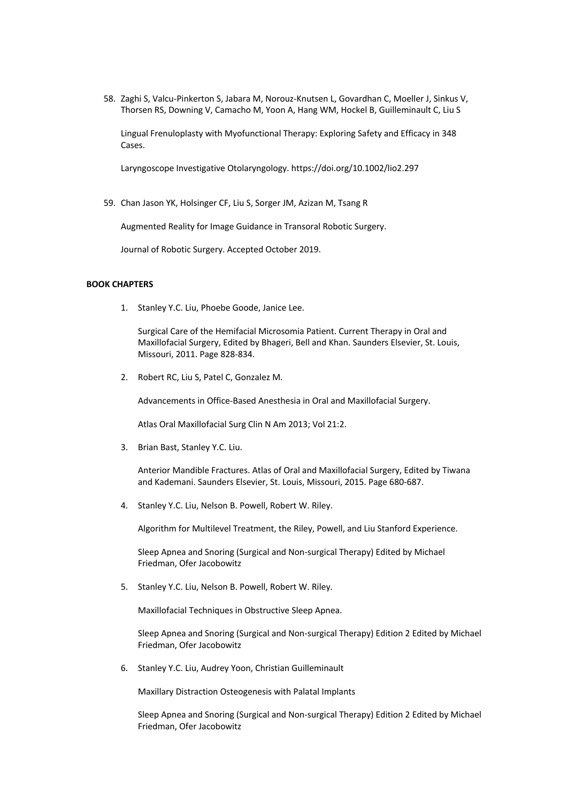58. Zaghi S, Valcu-Pinkerton S, Jabara M, Norouz-Knutsen L, Govardhan C, Moeller J, Sinkus V, Thorsen RS, Downing V, Camacho M, Yoon A, Hang WM, Hockel B, Guilleminault C, Liu S

Lingual Frenuloplasty with Myofunctional Therapy: Exploring Safety and Efficacy in 348 Cases.

Laryngoscope Investigative Otolaryngology. https://doi.org/10.1002/lio2.297

59. Chan Jason YK, Holsinger CF, Liu S, Sorger JM, Azizan M, Tsang R

Augmented Reality for Image Guidance in Transoral Robotic Surgery.

Journal of Robotic Surgery. Accepted October 2019.

### **BOOK CHAPTERS**

1. Stanley Y.C. Liu, Phoebe Goode, Janice Lee.

Surgical Care of the Hemifacial Microsomia Patient. Current Therapy in Oral and Maxillofacial Surgery, Edited by Bhageri, Bell and Khan. Saunders Elsevier, St. Louis, Missouri, 2011. Page 828-834.

2. Robert RC, Liu S, Patel C, Gonzalez M.

Advancements in Office-Based Anesthesia in Oral and Maxillofacial Surgery.

Atlas Oral Maxillofacial Surg Clin N Am 2013; Vol 21:2.

3. Brian Bast, Stanley Y.C. Liu.

Anterior Mandible Fractures. Atlas of Oral and Maxillofacial Surgery, Edited by Tiwana and Kademani. Saunders Elsevier, St. Louis, Missouri, 2015. Page 680-687.

4. Stanley Y.C. Liu, Nelson B. Powell, Robert W. Riley.

Algorithm for Multilevel Treatment, the Riley, Powell, and Liu Stanford Experience.

Sleep Apnea and Snoring (Surgical and Non-surgical Therapy) Edited by Michael Friedman, Ofer Jacobowitz

5. Stanley Y.C. Liu, Nelson B. Powell, Robert W. Riley.

Maxillofacial Techniques in Obstructive Sleep Apnea.

Sleep Apnea and Snoring (Surgical and Non-surgical Therapy) Edition 2 Edited by Michael Friedman, Ofer Jacobowitz

6. Stanley Y.C. Liu, Audrey Yoon, Christian Guilleminault

Maxillary Distraction Osteogenesis with Palatal Implants

Sleep Apnea and Snoring (Surgical and Non-surgical Therapy) Edition 2 Edited by Michael Friedman, Ofer Jacobowitz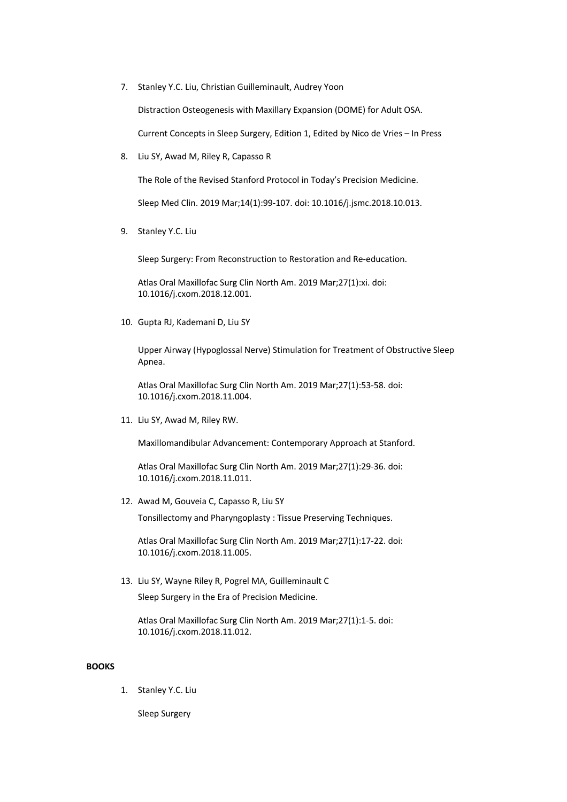7. Stanley Y.C. Liu, Christian Guilleminault, Audrey Yoon

Distraction Osteogenesis with Maxillary Expansion (DOME) for Adult OSA.

Current Concepts in Sleep Surgery, Edition 1, Edited by Nico de Vries – In Press

8. Liu SY, Awad M, Riley R, Capasso R

The Role of the Revised Stanford Protocol in Today's Precision Medicine.

Sleep Med Clin. 2019 Mar;14(1):99-107. doi: 10.1016/j.jsmc.2018.10.013.

9. Stanley Y.C. Liu

Sleep Surgery: From Reconstruction to Restoration and Re-education.

Atlas Oral Maxillofac Surg Clin North Am. 2019 Mar;27(1):xi. doi: 10.1016/j.cxom.2018.12.001.

10. Gupta RJ, Kademani D, Liu SY

Upper Airway (Hypoglossal Nerve) Stimulation for Treatment of Obstructive Sleep Apnea.

Atlas Oral Maxillofac Surg Clin North Am. 2019 Mar;27(1):53-58. doi: 10.1016/j.cxom.2018.11.004.

11. Liu SY, Awad M, Riley RW.

Maxillomandibular Advancement: Contemporary Approach at Stanford.

Atlas Oral Maxillofac Surg Clin North Am. 2019 Mar;27(1):29-36. doi: 10.1016/j.cxom.2018.11.011.

12. Awad M, Gouveia C, Capasso R, Liu SY

Tonsillectomy and Pharyngoplasty : Tissue Preserving Techniques.

Atlas Oral Maxillofac Surg Clin North Am. 2019 Mar;27(1):17-22. doi: 10.1016/j.cxom.2018.11.005.

13. Liu SY, Wayne Riley R, Pogrel MA, Guilleminault C Sleep Surgery in the Era of Precision Medicine.

Atlas Oral Maxillofac Surg Clin North Am. 2019 Mar;27(1):1-5. doi: 10.1016/j.cxom.2018.11.012.

### **BOOKS**

1. Stanley Y.C. Liu

Sleep Surgery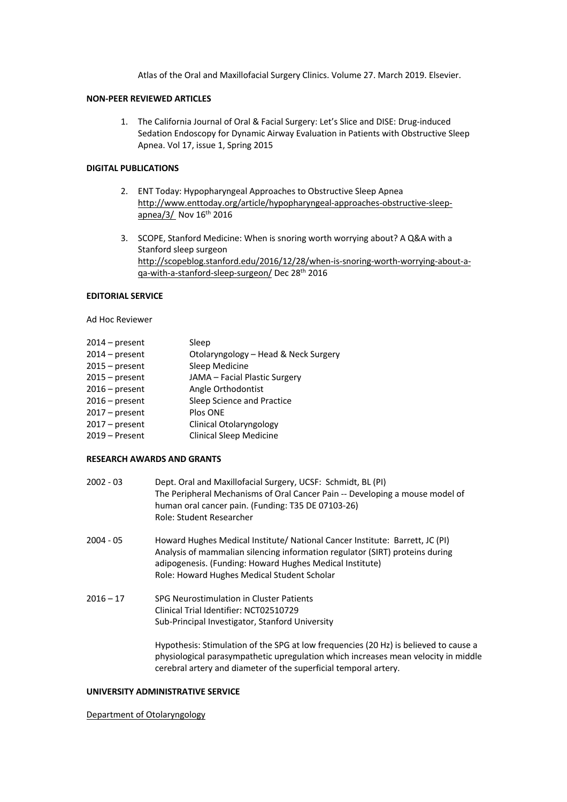Atlas of the Oral and Maxillofacial Surgery Clinics. Volume 27. March 2019. Elsevier.

## **NON-PEER REVIEWED ARTICLES**

1. The California Journal of Oral & Facial Surgery: Let's Slice and DISE: Drug-induced Sedation Endoscopy for Dynamic Airway Evaluation in Patients with Obstructive Sleep Apnea. Vol 17, issue 1, Spring 2015

#### **DIGITAL PUBLICATIONS**

- 2. ENT Today: Hypopharyngeal Approaches to Obstructive Sleep Apnea http://www.enttoday.org/article/hypopharyngeal-approaches-obstructive-sleepapnea/3/ Nov 16<sup>th</sup> 2016
- 3. SCOPE, Stanford Medicine: When is snoring worth worrying about? A Q&A with a Stanford sleep surgeon http://scopeblog.stanford.edu/2016/12/28/when-is-snoring-worth-worrying-about-aqa-with-a-stanford-sleep-surgeon/ Dec 28th 2016

### **EDITORIAL SERVICE**

Ad Hoc Reviewer

| 2014 – present   | Sleep                                |
|------------------|--------------------------------------|
| $2014 - present$ | Otolaryngology - Head & Neck Surgery |
| $2015 - present$ | Sleep Medicine                       |
| $2015 - present$ | JAMA - Facial Plastic Surgery        |
| 2016 – present   | Angle Orthodontist                   |
| 2016 – present   | Sleep Science and Practice           |
| 2017 – present   | Plos ONE                             |
| $2017 - present$ | <b>Clinical Otolaryngology</b>       |
| 2019 – Present   | <b>Clinical Sleep Medicine</b>       |

#### **RESEARCH AWARDS AND GRANTS**

| $2002 - 03$ | Dept. Oral and Maxillofacial Surgery, UCSF: Schmidt, BL (PI)                                                                                                 |
|-------------|--------------------------------------------------------------------------------------------------------------------------------------------------------------|
|             | The Peripheral Mechanisms of Oral Cancer Pain -- Developing a mouse model of                                                                                 |
|             | human oral cancer pain. (Funding: T35 DE 07103-26)                                                                                                           |
|             | Role: Student Researcher                                                                                                                                     |
| 2004 - 05   | Howard Hughes Medical Institute/ National Cancer Institute: Barrett, JC (PI)<br>Analysis of mammalian silencing information regulator (SIRT) proteins during |

- 1) proteins duri adipogenesis. (Funding: Howard Hughes Medical Institute) Role: Howard Hughes Medical Student Scholar
- 2016 17 SPG Neurostimulation in Cluster Patients Clinical Trial Identifier: NCT02510729 Sub-Principal Investigator, Stanford University

Hypothesis: Stimulation of the SPG at low frequencies (20 Hz) is believed to cause a physiological parasympathetic upregulation which increases mean velocity in middle cerebral artery and diameter of the superficial temporal artery.

## **UNIVERSITY ADMINISTRATIVE SERVICE**

Department of Otolaryngology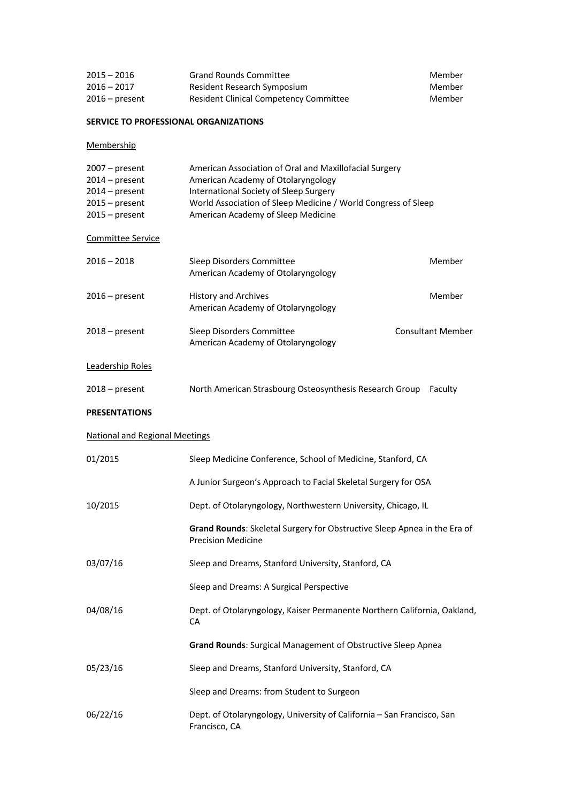| $2015 - 2016$    | <b>Grand Rounds Committee</b>          | Member |
|------------------|----------------------------------------|--------|
| $2016 - 2017$    | Resident Research Symposium            | Member |
| $2016$ – present | Resident Clinical Competency Committee | Member |

## **SERVICE TO PROFESSIONAL ORGANIZATIONS**

**Membership** 

| $2007 - present$ | American Association of Oral and Maxillofacial Surgery        |
|------------------|---------------------------------------------------------------|
| $2014$ – present | American Academy of Otolaryngology                            |
| $2014$ – present | International Society of Sleep Surgery                        |
| $2015 - present$ | World Association of Sleep Medicine / World Congress of Sleep |
| $2015 - present$ | American Academy of Sleep Medicine                            |

Committee Service

| $2016 - 2018$    | Sleep Disorders Committee<br>American Academy of Otolaryngology   | Member                   |
|------------------|-------------------------------------------------------------------|--------------------------|
| $2016$ – present | <b>History and Archives</b><br>American Academy of Otolaryngology | Member                   |
| $2018 - present$ | Sleep Disorders Committee<br>American Academy of Otolaryngology   | <b>Consultant Member</b> |

# Leadership Roles

| 2018 – present | North American Strasbourg Osteosynthesis Research Group Faculty |  |
|----------------|-----------------------------------------------------------------|--|
|                |                                                                 |  |

## **PRESENTATIONS**

## National and Regional Meetings

| 01/2015  | Sleep Medicine Conference, School of Medicine, Stanford, CA                                           |
|----------|-------------------------------------------------------------------------------------------------------|
|          | A Junior Surgeon's Approach to Facial Skeletal Surgery for OSA                                        |
| 10/2015  | Dept. of Otolaryngology, Northwestern University, Chicago, IL                                         |
|          | Grand Rounds: Skeletal Surgery for Obstructive Sleep Apnea in the Era of<br><b>Precision Medicine</b> |
| 03/07/16 | Sleep and Dreams, Stanford University, Stanford, CA                                                   |
|          | Sleep and Dreams: A Surgical Perspective                                                              |
| 04/08/16 | Dept. of Otolaryngology, Kaiser Permanente Northern California, Oakland,<br><b>CA</b>                 |
|          | Grand Rounds: Surgical Management of Obstructive Sleep Apnea                                          |
| 05/23/16 | Sleep and Dreams, Stanford University, Stanford, CA                                                   |
|          | Sleep and Dreams: from Student to Surgeon                                                             |
| 06/22/16 | Dept. of Otolaryngology, University of California - San Francisco, San<br>Francisco, CA               |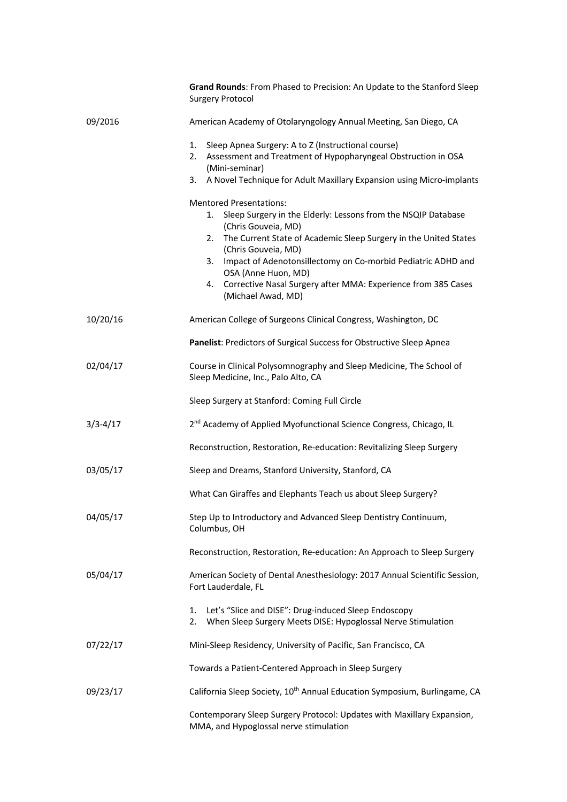|              | Grand Rounds: From Phased to Precision: An Update to the Stanford Sleep<br><b>Surgery Protocol</b>                                                                                                                                                                                                                                                                                                                      |
|--------------|-------------------------------------------------------------------------------------------------------------------------------------------------------------------------------------------------------------------------------------------------------------------------------------------------------------------------------------------------------------------------------------------------------------------------|
| 09/2016      | American Academy of Otolaryngology Annual Meeting, San Diego, CA                                                                                                                                                                                                                                                                                                                                                        |
|              | Sleep Apnea Surgery: A to Z (Instructional course)<br>1.<br>Assessment and Treatment of Hypopharyngeal Obstruction in OSA<br>2.<br>(Mini-seminar)<br>A Novel Technique for Adult Maxillary Expansion using Micro-implants<br>3.                                                                                                                                                                                         |
|              | <b>Mentored Presentations:</b><br>Sleep Surgery in the Elderly: Lessons from the NSQIP Database<br>1.<br>(Chris Gouveia, MD)<br>The Current State of Academic Sleep Surgery in the United States<br>2.<br>(Chris Gouveia, MD)<br>Impact of Adenotonsillectomy on Co-morbid Pediatric ADHD and<br>3.<br>OSA (Anne Huon, MD)<br>Corrective Nasal Surgery after MMA: Experience from 385 Cases<br>4.<br>(Michael Awad, MD) |
| 10/20/16     | American College of Surgeons Clinical Congress, Washington, DC                                                                                                                                                                                                                                                                                                                                                          |
|              | Panelist: Predictors of Surgical Success for Obstructive Sleep Apnea                                                                                                                                                                                                                                                                                                                                                    |
| 02/04/17     | Course in Clinical Polysomnography and Sleep Medicine, The School of<br>Sleep Medicine, Inc., Palo Alto, CA                                                                                                                                                                                                                                                                                                             |
|              | Sleep Surgery at Stanford: Coming Full Circle                                                                                                                                                                                                                                                                                                                                                                           |
| $3/3 - 4/17$ | 2 <sup>nd</sup> Academy of Applied Myofunctional Science Congress, Chicago, IL                                                                                                                                                                                                                                                                                                                                          |
|              | Reconstruction, Restoration, Re-education: Revitalizing Sleep Surgery                                                                                                                                                                                                                                                                                                                                                   |
| 03/05/17     | Sleep and Dreams, Stanford University, Stanford, CA                                                                                                                                                                                                                                                                                                                                                                     |
|              | What Can Giraffes and Elephants Teach us about Sleep Surgery?                                                                                                                                                                                                                                                                                                                                                           |
| 04/05/17     | Step Up to Introductory and Advanced Sleep Dentistry Continuum,<br>Columbus, OH                                                                                                                                                                                                                                                                                                                                         |
|              | Reconstruction, Restoration, Re-education: An Approach to Sleep Surgery                                                                                                                                                                                                                                                                                                                                                 |
| 05/04/17     | American Society of Dental Anesthesiology: 2017 Annual Scientific Session,<br>Fort Lauderdale, FL                                                                                                                                                                                                                                                                                                                       |
|              | Let's "Slice and DISE": Drug-induced Sleep Endoscopy<br>1.<br>When Sleep Surgery Meets DISE: Hypoglossal Nerve Stimulation<br>2.                                                                                                                                                                                                                                                                                        |
| 07/22/17     | Mini-Sleep Residency, University of Pacific, San Francisco, CA                                                                                                                                                                                                                                                                                                                                                          |
|              | Towards a Patient-Centered Approach in Sleep Surgery                                                                                                                                                                                                                                                                                                                                                                    |
| 09/23/17     | California Sleep Society, 10 <sup>th</sup> Annual Education Symposium, Burlingame, CA                                                                                                                                                                                                                                                                                                                                   |
|              | Contemporary Sleep Surgery Protocol: Updates with Maxillary Expansion,<br>MMA, and Hypoglossal nerve stimulation                                                                                                                                                                                                                                                                                                        |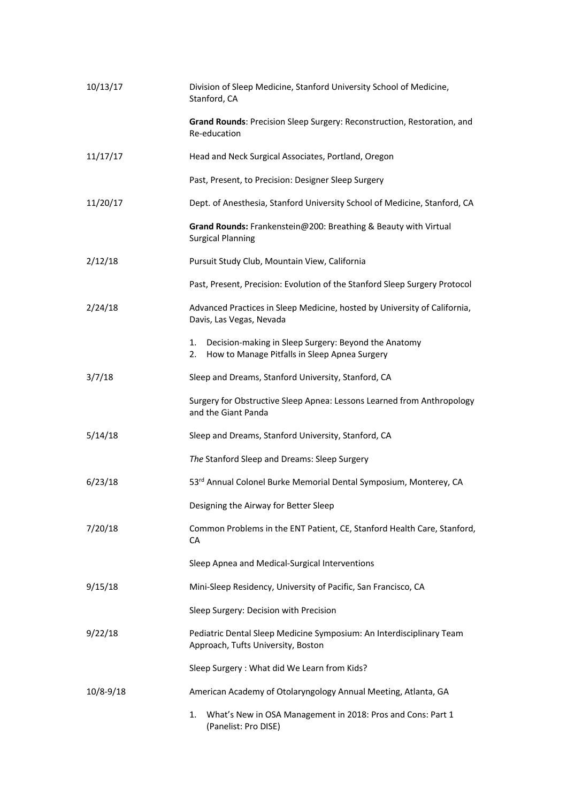| 10/13/17      | Division of Sleep Medicine, Stanford University School of Medicine,<br>Stanford, CA                               |
|---------------|-------------------------------------------------------------------------------------------------------------------|
|               | Grand Rounds: Precision Sleep Surgery: Reconstruction, Restoration, and<br>Re-education                           |
| 11/17/17      | Head and Neck Surgical Associates, Portland, Oregon                                                               |
|               | Past, Present, to Precision: Designer Sleep Surgery                                                               |
| 11/20/17      | Dept. of Anesthesia, Stanford University School of Medicine, Stanford, CA                                         |
|               | Grand Rounds: Frankenstein@200: Breathing & Beauty with Virtual<br><b>Surgical Planning</b>                       |
| 2/12/18       | Pursuit Study Club, Mountain View, California                                                                     |
|               | Past, Present, Precision: Evolution of the Stanford Sleep Surgery Protocol                                        |
| 2/24/18       | Advanced Practices in Sleep Medicine, hosted by University of California,<br>Davis, Las Vegas, Nevada             |
|               | Decision-making in Sleep Surgery: Beyond the Anatomy<br>1.<br>How to Manage Pitfalls in Sleep Apnea Surgery<br>2. |
| 3/7/18        | Sleep and Dreams, Stanford University, Stanford, CA                                                               |
|               | Surgery for Obstructive Sleep Apnea: Lessons Learned from Anthropology<br>and the Giant Panda                     |
| 5/14/18       | Sleep and Dreams, Stanford University, Stanford, CA                                                               |
|               | The Stanford Sleep and Dreams: Sleep Surgery                                                                      |
| 6/23/18       | 53rd Annual Colonel Burke Memorial Dental Symposium, Monterey, CA                                                 |
|               | Designing the Airway for Better Sleep                                                                             |
| 7/20/18       | Common Problems in the ENT Patient, CE, Stanford Health Care, Stanford,<br>CA                                     |
|               | Sleep Apnea and Medical-Surgical Interventions                                                                    |
| 9/15/18       | Mini-Sleep Residency, University of Pacific, San Francisco, CA                                                    |
|               | Sleep Surgery: Decision with Precision                                                                            |
| 9/22/18       | Pediatric Dental Sleep Medicine Symposium: An Interdisciplinary Team<br>Approach, Tufts University, Boston        |
|               | Sleep Surgery: What did We Learn from Kids?                                                                       |
| $10/8 - 9/18$ | American Academy of Otolaryngology Annual Meeting, Atlanta, GA                                                    |
|               | What's New in OSA Management in 2018: Pros and Cons: Part 1<br>1.<br>(Panelist: Pro DISE)                         |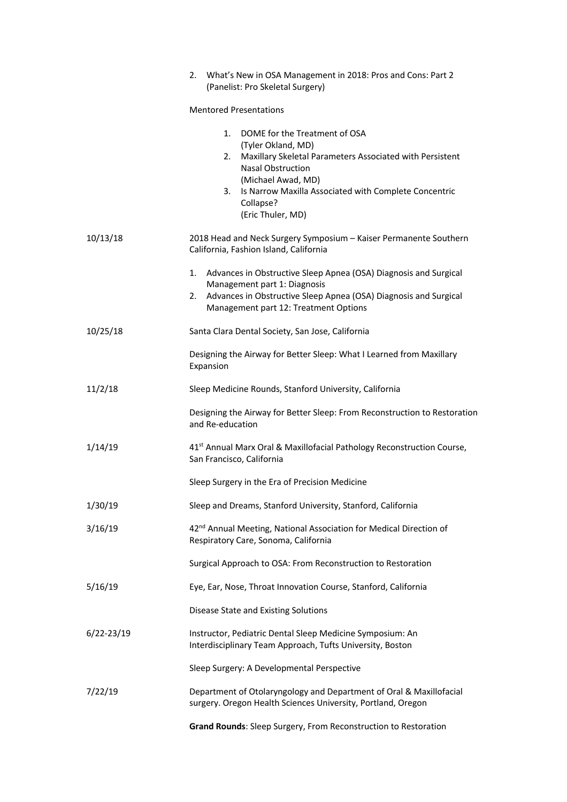|                | What's New in OSA Management in 2018: Pros and Cons: Part 2<br>2.<br>(Panelist: Pro Skeletal Surgery)                                                                                                                                                                          |
|----------------|--------------------------------------------------------------------------------------------------------------------------------------------------------------------------------------------------------------------------------------------------------------------------------|
|                | <b>Mentored Presentations</b>                                                                                                                                                                                                                                                  |
|                | 1.<br>DOME for the Treatment of OSA<br>(Tyler Okland, MD)<br>Maxillary Skeletal Parameters Associated with Persistent<br>2.<br><b>Nasal Obstruction</b><br>(Michael Awad, MD)<br>Is Narrow Maxilla Associated with Complete Concentric<br>3.<br>Collapse?<br>(Eric Thuler, MD) |
| 10/13/18       | 2018 Head and Neck Surgery Symposium - Kaiser Permanente Southern<br>California, Fashion Island, California                                                                                                                                                                    |
|                | Advances in Obstructive Sleep Apnea (OSA) Diagnosis and Surgical<br>1.<br>Management part 1: Diagnosis<br>Advances in Obstructive Sleep Apnea (OSA) Diagnosis and Surgical<br>2.<br>Management part 12: Treatment Options                                                      |
| 10/25/18       | Santa Clara Dental Society, San Jose, California                                                                                                                                                                                                                               |
|                | Designing the Airway for Better Sleep: What I Learned from Maxillary<br>Expansion                                                                                                                                                                                              |
| 11/2/18        | Sleep Medicine Rounds, Stanford University, California                                                                                                                                                                                                                         |
|                | Designing the Airway for Better Sleep: From Reconstruction to Restoration<br>and Re-education                                                                                                                                                                                  |
| 1/14/19        | 41 <sup>st</sup> Annual Marx Oral & Maxillofacial Pathology Reconstruction Course,<br>San Francisco, California                                                                                                                                                                |
|                | Sleep Surgery in the Era of Precision Medicine                                                                                                                                                                                                                                 |
| 1/30/19        | Sleep and Dreams, Stanford University, Stanford, California                                                                                                                                                                                                                    |
| 3/16/19        | 42 <sup>nd</sup> Annual Meeting, National Association for Medical Direction of<br>Respiratory Care, Sonoma, California                                                                                                                                                         |
|                | Surgical Approach to OSA: From Reconstruction to Restoration                                                                                                                                                                                                                   |
| 5/16/19        | Eye, Ear, Nose, Throat Innovation Course, Stanford, California                                                                                                                                                                                                                 |
|                | Disease State and Existing Solutions                                                                                                                                                                                                                                           |
| $6/22 - 23/19$ | Instructor, Pediatric Dental Sleep Medicine Symposium: An<br>Interdisciplinary Team Approach, Tufts University, Boston                                                                                                                                                         |
|                | Sleep Surgery: A Developmental Perspective                                                                                                                                                                                                                                     |
| 7/22/19        | Department of Otolaryngology and Department of Oral & Maxillofacial<br>surgery. Oregon Health Sciences University, Portland, Oregon                                                                                                                                            |
|                | Grand Rounds: Sleep Surgery, From Reconstruction to Restoration                                                                                                                                                                                                                |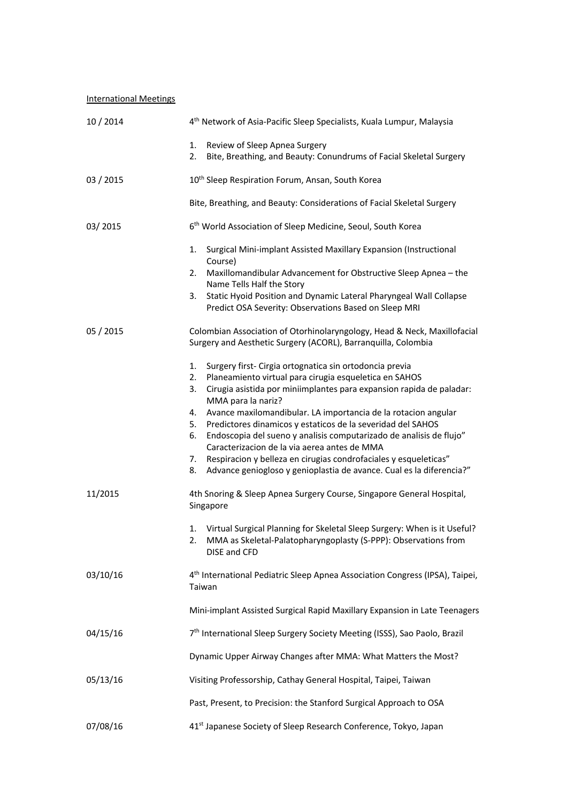International Meetings

| 10/2014   | 4 <sup>th</sup> Network of Asia-Pacific Sleep Specialists, Kuala Lumpur, Malaysia                                                                                                                                                                                                                                                                                                                                                                                                                                                                                                                                                                                   |  |  |  |
|-----------|---------------------------------------------------------------------------------------------------------------------------------------------------------------------------------------------------------------------------------------------------------------------------------------------------------------------------------------------------------------------------------------------------------------------------------------------------------------------------------------------------------------------------------------------------------------------------------------------------------------------------------------------------------------------|--|--|--|
|           | 1.<br>Review of Sleep Apnea Surgery<br>Bite, Breathing, and Beauty: Conundrums of Facial Skeletal Surgery<br>2.                                                                                                                                                                                                                                                                                                                                                                                                                                                                                                                                                     |  |  |  |
| 03 / 2015 | 10 <sup>th</sup> Sleep Respiration Forum, Ansan, South Korea                                                                                                                                                                                                                                                                                                                                                                                                                                                                                                                                                                                                        |  |  |  |
|           | Bite, Breathing, and Beauty: Considerations of Facial Skeletal Surgery                                                                                                                                                                                                                                                                                                                                                                                                                                                                                                                                                                                              |  |  |  |
| 03/2015   | 6 <sup>th</sup> World Association of Sleep Medicine, Seoul, South Korea                                                                                                                                                                                                                                                                                                                                                                                                                                                                                                                                                                                             |  |  |  |
|           | Surgical Mini-implant Assisted Maxillary Expansion (Instructional<br>1.<br>Course)<br>Maxillomandibular Advancement for Obstructive Sleep Apnea - the<br>2.<br>Name Tells Half the Story<br>Static Hyoid Position and Dynamic Lateral Pharyngeal Wall Collapse<br>3.<br>Predict OSA Severity: Observations Based on Sleep MRI                                                                                                                                                                                                                                                                                                                                       |  |  |  |
| 05 / 2015 | Colombian Association of Otorhinolaryngology, Head & Neck, Maxillofacial<br>Surgery and Aesthetic Surgery (ACORL), Barranquilla, Colombia                                                                                                                                                                                                                                                                                                                                                                                                                                                                                                                           |  |  |  |
|           | Surgery first- Cirgia ortognatica sin ortodoncia previa<br>1.<br>Planeamiento virtual para cirugia esqueletica en SAHOS<br>2.<br>3.<br>Cirugia asistida por miniimplantes para expansion rapida de paladar:<br>MMA para la nariz?<br>Avance maxilomandibular. LA importancia de la rotacion angular<br>4.<br>Predictores dinamicos y estaticos de la severidad del SAHOS<br>5.<br>Endoscopia del sueno y analisis computarizado de analisis de flujo"<br>6.<br>Caracterizacion de la via aerea antes de MMA<br>Respiracion y belleza en cirugias condrofaciales y esqueleticas"<br>7.<br>Advance geniogloso y genioplastia de avance. Cual es la diferencia?"<br>8. |  |  |  |
| 11/2015   | 4th Snoring & Sleep Apnea Surgery Course, Singapore General Hospital,<br>Singapore                                                                                                                                                                                                                                                                                                                                                                                                                                                                                                                                                                                  |  |  |  |
|           | Virtual Surgical Planning for Skeletal Sleep Surgery: When is it Useful?<br>1.<br>MMA as Skeletal-Palatopharyngoplasty (S-PPP): Observations from<br>2.<br>DISE and CFD                                                                                                                                                                                                                                                                                                                                                                                                                                                                                             |  |  |  |
| 03/10/16  | 4 <sup>th</sup> International Pediatric Sleep Apnea Association Congress (IPSA), Taipei,<br>Taiwan                                                                                                                                                                                                                                                                                                                                                                                                                                                                                                                                                                  |  |  |  |
|           | Mini-implant Assisted Surgical Rapid Maxillary Expansion in Late Teenagers                                                                                                                                                                                                                                                                                                                                                                                                                                                                                                                                                                                          |  |  |  |
| 04/15/16  | 7 <sup>th</sup> International Sleep Surgery Society Meeting (ISSS), Sao Paolo, Brazil                                                                                                                                                                                                                                                                                                                                                                                                                                                                                                                                                                               |  |  |  |
|           | Dynamic Upper Airway Changes after MMA: What Matters the Most?                                                                                                                                                                                                                                                                                                                                                                                                                                                                                                                                                                                                      |  |  |  |
| 05/13/16  | Visiting Professorship, Cathay General Hospital, Taipei, Taiwan                                                                                                                                                                                                                                                                                                                                                                                                                                                                                                                                                                                                     |  |  |  |
|           | Past, Present, to Precision: the Stanford Surgical Approach to OSA                                                                                                                                                                                                                                                                                                                                                                                                                                                                                                                                                                                                  |  |  |  |
| 07/08/16  | 41 <sup>st</sup> Japanese Society of Sleep Research Conference, Tokyo, Japan                                                                                                                                                                                                                                                                                                                                                                                                                                                                                                                                                                                        |  |  |  |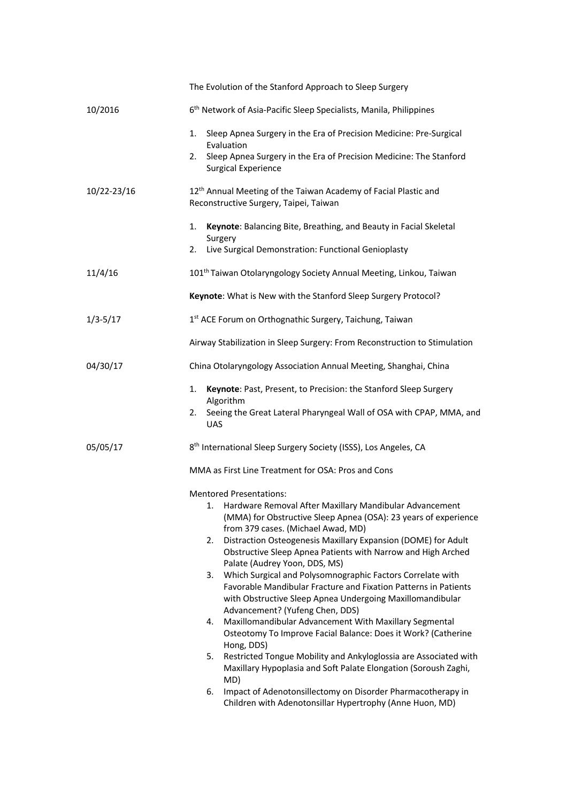|              | The Evolution of the Stanford Approach to Sleep Surgery                                                                                                             |  |  |  |
|--------------|---------------------------------------------------------------------------------------------------------------------------------------------------------------------|--|--|--|
| 10/2016      | 6 <sup>th</sup> Network of Asia-Pacific Sleep Specialists, Manila, Philippines                                                                                      |  |  |  |
|              | Sleep Apnea Surgery in the Era of Precision Medicine: Pre-Surgical<br>1.<br>Evaluation                                                                              |  |  |  |
|              | Sleep Apnea Surgery in the Era of Precision Medicine: The Stanford<br>2.<br><b>Surgical Experience</b>                                                              |  |  |  |
| 10/22-23/16  | 12 <sup>th</sup> Annual Meeting of the Taiwan Academy of Facial Plastic and<br>Reconstructive Surgery, Taipei, Taiwan                                               |  |  |  |
|              | Keynote: Balancing Bite, Breathing, and Beauty in Facial Skeletal<br>1.<br>Surgery                                                                                  |  |  |  |
|              | Live Surgical Demonstration: Functional Genioplasty<br>2.                                                                                                           |  |  |  |
| 11/4/16      | 101 <sup>th</sup> Taiwan Otolaryngology Society Annual Meeting, Linkou, Taiwan                                                                                      |  |  |  |
|              | Keynote: What is New with the Stanford Sleep Surgery Protocol?                                                                                                      |  |  |  |
| $1/3 - 5/17$ | 1st ACE Forum on Orthognathic Surgery, Taichung, Taiwan                                                                                                             |  |  |  |
|              | Airway Stabilization in Sleep Surgery: From Reconstruction to Stimulation                                                                                           |  |  |  |
| 04/30/17     | China Otolaryngology Association Annual Meeting, Shanghai, China                                                                                                    |  |  |  |
|              | Keynote: Past, Present, to Precision: the Stanford Sleep Surgery<br>1.<br>Algorithm                                                                                 |  |  |  |
|              | Seeing the Great Lateral Pharyngeal Wall of OSA with CPAP, MMA, and<br>2.<br><b>UAS</b>                                                                             |  |  |  |
| 05/05/17     | 8 <sup>th</sup> International Sleep Surgery Society (ISSS), Los Angeles, CA                                                                                         |  |  |  |
|              | MMA as First Line Treatment for OSA: Pros and Cons                                                                                                                  |  |  |  |
|              | <b>Mentored Presentations:</b>                                                                                                                                      |  |  |  |
|              | 1. Hardware Removal After Maxillary Mandibular Advancement<br>(MMA) for Obstructive Sleep Apnea (OSA): 23 years of experience<br>from 379 cases. (Michael Awad, MD) |  |  |  |
|              | Distraction Osteogenesis Maxillary Expansion (DOME) for Adult<br>2.<br>Obstructive Sleep Apnea Patients with Narrow and High Arched                                 |  |  |  |
|              | Palate (Audrey Yoon, DDS, MS)<br>Which Surgical and Polysomnographic Factors Correlate with<br>3.                                                                   |  |  |  |
|              | Favorable Mandibular Fracture and Fixation Patterns in Patients<br>with Obstructive Sleep Apnea Undergoing Maxillomandibular                                        |  |  |  |
|              | Advancement? (Yufeng Chen, DDS)<br>Maxillomandibular Advancement With Maxillary Segmental<br>4.<br>Osteotomy To Improve Facial Balance: Does it Work? (Catherine    |  |  |  |
|              | Hong, DDS)                                                                                                                                                          |  |  |  |
|              | Restricted Tongue Mobility and Ankyloglossia are Associated with<br>5.<br>Maxillary Hypoplasia and Soft Palate Elongation (Soroush Zaghi,<br>MD)                    |  |  |  |
|              | Impact of Adenotonsillectomy on Disorder Pharmacotherapy in<br>6.<br>Children with Adenotonsillar Hypertrophy (Anne Huon, MD)                                       |  |  |  |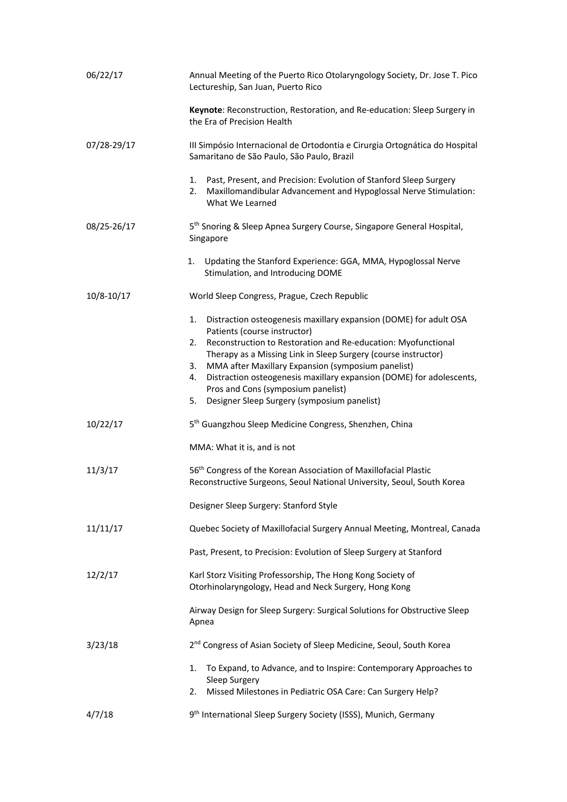| 06/22/17    | Annual Meeting of the Puerto Rico Otolaryngology Society, Dr. Jose T. Pico<br>Lectureship, San Juan, Puerto Rico                                                     |  |  |  |
|-------------|----------------------------------------------------------------------------------------------------------------------------------------------------------------------|--|--|--|
|             | Keynote: Reconstruction, Restoration, and Re-education: Sleep Surgery in<br>the Era of Precision Health                                                              |  |  |  |
| 07/28-29/17 | III Simpósio Internacional de Ortodontia e Cirurgia Ortognática do Hospital<br>Samaritano de São Paulo, São Paulo, Brazil                                            |  |  |  |
|             | Past, Present, and Precision: Evolution of Stanford Sleep Surgery<br>1.<br>Maxillomandibular Advancement and Hypoglossal Nerve Stimulation:<br>2.<br>What We Learned |  |  |  |
| 08/25-26/17 | 5 <sup>th</sup> Snoring & Sleep Apnea Surgery Course, Singapore General Hospital,<br>Singapore                                                                       |  |  |  |
|             | Updating the Stanford Experience: GGA, MMA, Hypoglossal Nerve<br>1.<br>Stimulation, and Introducing DOME                                                             |  |  |  |
| 10/8-10/17  | World Sleep Congress, Prague, Czech Republic                                                                                                                         |  |  |  |
|             | Distraction osteogenesis maxillary expansion (DOME) for adult OSA<br>1.<br>Patients (course instructor)                                                              |  |  |  |
|             | Reconstruction to Restoration and Re-education: Myofunctional<br>2.<br>Therapy as a Missing Link in Sleep Surgery (course instructor)                                |  |  |  |
|             | MMA after Maxillary Expansion (symposium panelist)<br>3.<br>Distraction osteogenesis maxillary expansion (DOME) for adolescents,<br>4.                               |  |  |  |
|             | Pros and Cons (symposium panelist)<br>Designer Sleep Surgery (symposium panelist)<br>5.                                                                              |  |  |  |
|             |                                                                                                                                                                      |  |  |  |
| 10/22/17    | 5 <sup>th</sup> Guangzhou Sleep Medicine Congress, Shenzhen, China                                                                                                   |  |  |  |
|             | MMA: What it is, and is not                                                                                                                                          |  |  |  |
| 11/3/17     | 56 <sup>th</sup> Congress of the Korean Association of Maxillofacial Plastic<br>Reconstructive Surgeons, Seoul National University, Seoul, South Korea               |  |  |  |
|             | Designer Sleep Surgery: Stanford Style                                                                                                                               |  |  |  |
| 11/11/17    | Quebec Society of Maxillofacial Surgery Annual Meeting, Montreal, Canada                                                                                             |  |  |  |
|             | Past, Present, to Precision: Evolution of Sleep Surgery at Stanford                                                                                                  |  |  |  |
| 12/2/17     | Karl Storz Visiting Professorship, The Hong Kong Society of<br>Otorhinolaryngology, Head and Neck Surgery, Hong Kong                                                 |  |  |  |
|             | Airway Design for Sleep Surgery: Surgical Solutions for Obstructive Sleep<br>Apnea                                                                                   |  |  |  |
| 3/23/18     | 2 <sup>nd</sup> Congress of Asian Society of Sleep Medicine, Seoul, South Korea                                                                                      |  |  |  |
|             | To Expand, to Advance, and to Inspire: Contemporary Approaches to<br>1.<br>Sleep Surgery<br>2.                                                                       |  |  |  |
|             | Missed Milestones in Pediatric OSA Care: Can Surgery Help?                                                                                                           |  |  |  |
| 4/7/18      | 9 <sup>th</sup> International Sleep Surgery Society (ISSS), Munich, Germany                                                                                          |  |  |  |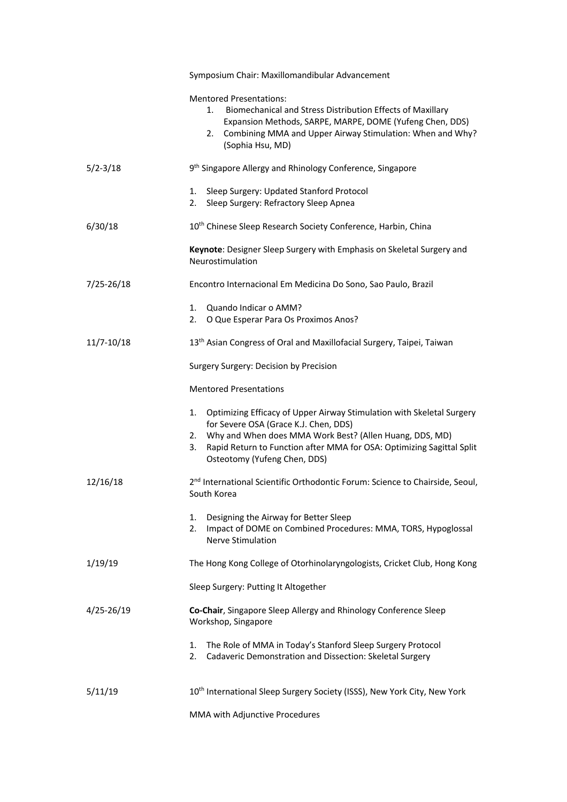|                | Symposium Chair: Maxillomandibular Advancement                                                                                                                                                                                                                                                       |  |  |  |
|----------------|------------------------------------------------------------------------------------------------------------------------------------------------------------------------------------------------------------------------------------------------------------------------------------------------------|--|--|--|
|                | <b>Mentored Presentations:</b><br>Biomechanical and Stress Distribution Effects of Maxillary<br>1.<br>Expansion Methods, SARPE, MARPE, DOME (Yufeng Chen, DDS)<br>Combining MMA and Upper Airway Stimulation: When and Why?<br>2.<br>(Sophia Hsu, MD)                                                |  |  |  |
| $5/2 - 3/18$   | 9 <sup>th</sup> Singapore Allergy and Rhinology Conference, Singapore                                                                                                                                                                                                                                |  |  |  |
|                | Sleep Surgery: Updated Stanford Protocol<br>1.<br>2.<br>Sleep Surgery: Refractory Sleep Apnea                                                                                                                                                                                                        |  |  |  |
| 6/30/18        | 10 <sup>th</sup> Chinese Sleep Research Society Conference, Harbin, China                                                                                                                                                                                                                            |  |  |  |
|                | Keynote: Designer Sleep Surgery with Emphasis on Skeletal Surgery and<br>Neurostimulation                                                                                                                                                                                                            |  |  |  |
| $7/25 - 26/18$ | Encontro Internacional Em Medicina Do Sono, Sao Paulo, Brazil                                                                                                                                                                                                                                        |  |  |  |
|                | Quando Indicar o AMM?<br>1.<br>2.<br>O Que Esperar Para Os Proximos Anos?                                                                                                                                                                                                                            |  |  |  |
| $11/7 - 10/18$ | 13 <sup>th</sup> Asian Congress of Oral and Maxillofacial Surgery, Taipei, Taiwan                                                                                                                                                                                                                    |  |  |  |
|                | Surgery Surgery: Decision by Precision                                                                                                                                                                                                                                                               |  |  |  |
|                | <b>Mentored Presentations</b>                                                                                                                                                                                                                                                                        |  |  |  |
|                | Optimizing Efficacy of Upper Airway Stimulation with Skeletal Surgery<br>1.<br>for Severe OSA (Grace K.J. Chen, DDS)<br>Why and When does MMA Work Best? (Allen Huang, DDS, MD)<br>2.<br>Rapid Return to Function after MMA for OSA: Optimizing Sagittal Split<br>3.<br>Osteotomy (Yufeng Chen, DDS) |  |  |  |
| 12/16/18       | 2 <sup>nd</sup> International Scientific Orthodontic Forum: Science to Chairside, Seoul,<br>South Korea                                                                                                                                                                                              |  |  |  |
|                | Designing the Airway for Better Sleep<br>1.<br>Impact of DOME on Combined Procedures: MMA, TORS, Hypoglossal<br>2.<br>Nerve Stimulation                                                                                                                                                              |  |  |  |
| 1/19/19        | The Hong Kong College of Otorhinolaryngologists, Cricket Club, Hong Kong                                                                                                                                                                                                                             |  |  |  |
|                | Sleep Surgery: Putting It Altogether                                                                                                                                                                                                                                                                 |  |  |  |
| 4/25-26/19     | Co-Chair, Singapore Sleep Allergy and Rhinology Conference Sleep<br>Workshop, Singapore                                                                                                                                                                                                              |  |  |  |
|                | The Role of MMA in Today's Stanford Sleep Surgery Protocol<br>1.<br>2.<br>Cadaveric Demonstration and Dissection: Skeletal Surgery                                                                                                                                                                   |  |  |  |
| 5/11/19        | 10 <sup>th</sup> International Sleep Surgery Society (ISSS), New York City, New York                                                                                                                                                                                                                 |  |  |  |
|                | MMA with Adjunctive Procedures                                                                                                                                                                                                                                                                       |  |  |  |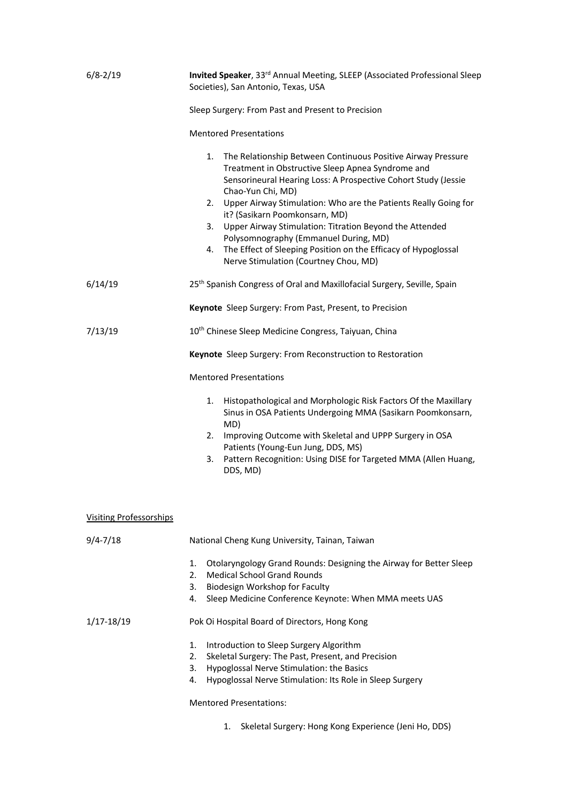| $6/8 - 2/19$                   | Invited Speaker, 33rd Annual Meeting, SLEEP (Associated Professional Sleep<br>Societies), San Antonio, Texas, USA                                                                                                                                                                                                                                                                          |  |  |  |  |
|--------------------------------|--------------------------------------------------------------------------------------------------------------------------------------------------------------------------------------------------------------------------------------------------------------------------------------------------------------------------------------------------------------------------------------------|--|--|--|--|
|                                | Sleep Surgery: From Past and Present to Precision                                                                                                                                                                                                                                                                                                                                          |  |  |  |  |
|                                | <b>Mentored Presentations</b>                                                                                                                                                                                                                                                                                                                                                              |  |  |  |  |
|                                | The Relationship Between Continuous Positive Airway Pressure<br>1.<br>Treatment in Obstructive Sleep Apnea Syndrome and<br>Sensorineural Hearing Loss: A Prospective Cohort Study (Jessie<br>Chao-Yun Chi, MD)<br>Upper Airway Stimulation: Who are the Patients Really Going for<br>2.<br>it? (Sasikarn Poomkonsarn, MD)<br>Upper Airway Stimulation: Titration Beyond the Attended<br>3. |  |  |  |  |
|                                | Polysomnography (Emmanuel During, MD)                                                                                                                                                                                                                                                                                                                                                      |  |  |  |  |
|                                | The Effect of Sleeping Position on the Efficacy of Hypoglossal<br>4.<br>Nerve Stimulation (Courtney Chou, MD)                                                                                                                                                                                                                                                                              |  |  |  |  |
| 6/14/19                        | 25 <sup>th</sup> Spanish Congress of Oral and Maxillofacial Surgery, Seville, Spain                                                                                                                                                                                                                                                                                                        |  |  |  |  |
|                                | Keynote Sleep Surgery: From Past, Present, to Precision                                                                                                                                                                                                                                                                                                                                    |  |  |  |  |
| 7/13/19                        | 10 <sup>th</sup> Chinese Sleep Medicine Congress, Taiyuan, China                                                                                                                                                                                                                                                                                                                           |  |  |  |  |
|                                | Keynote Sleep Surgery: From Reconstruction to Restoration                                                                                                                                                                                                                                                                                                                                  |  |  |  |  |
|                                | <b>Mentored Presentations</b>                                                                                                                                                                                                                                                                                                                                                              |  |  |  |  |
|                                | Histopathological and Morphologic Risk Factors Of the Maxillary<br>1.<br>Sinus in OSA Patients Undergoing MMA (Sasikarn Poomkonsarn,<br>MD)                                                                                                                                                                                                                                                |  |  |  |  |
|                                | Improving Outcome with Skeletal and UPPP Surgery in OSA<br>2.<br>Patients (Young-Eun Jung, DDS, MS)                                                                                                                                                                                                                                                                                        |  |  |  |  |
|                                | Pattern Recognition: Using DISE for Targeted MMA (Allen Huang,<br>3.<br>DDS, MD)                                                                                                                                                                                                                                                                                                           |  |  |  |  |
| <b>Visiting Professorships</b> |                                                                                                                                                                                                                                                                                                                                                                                            |  |  |  |  |
| $9/4 - 7/18$                   | National Cheng Kung University, Tainan, Taiwan                                                                                                                                                                                                                                                                                                                                             |  |  |  |  |
|                                | Otolaryngology Grand Rounds: Designing the Airway for Better Sleep<br>1.<br>2.<br><b>Medical School Grand Rounds</b><br>Biodesign Workshop for Faculty<br>3.<br>Sleep Medicine Conference Keynote: When MMA meets UAS<br>4.                                                                                                                                                                |  |  |  |  |
| $1/17 - 18/19$                 | Pok Oi Hospital Board of Directors, Hong Kong                                                                                                                                                                                                                                                                                                                                              |  |  |  |  |
|                                | 1.<br>Introduction to Sleep Surgery Algorithm<br>Skeletal Surgery: The Past, Present, and Precision<br>2.<br>Hypoglossal Nerve Stimulation: the Basics<br>3.<br>Hypoglossal Nerve Stimulation: Its Role in Sleep Surgery<br>4.                                                                                                                                                             |  |  |  |  |
|                                | <b>Mentored Presentations:</b>                                                                                                                                                                                                                                                                                                                                                             |  |  |  |  |
|                                | Skeletal Surgery: Hong Kong Experience (Jeni Ho, DDS)<br>1.                                                                                                                                                                                                                                                                                                                                |  |  |  |  |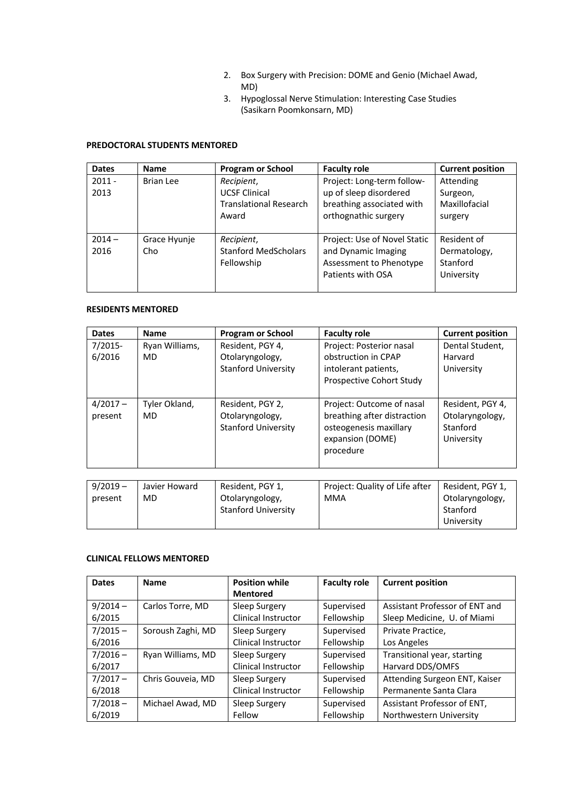- 2. Box Surgery with Precision: DOME and Genio (Michael Awad, MD)
- 3. Hypoglossal Nerve Stimulation: Interesting Case Studies (Sasikarn Poomkonsarn, MD)

## **PREDOCTORAL STUDENTS MENTORED**

| <b>Dates</b>     | Name                | <b>Program or School</b>                                                     | <b>Faculty role</b>                                                                                       | <b>Current position</b>                               |
|------------------|---------------------|------------------------------------------------------------------------------|-----------------------------------------------------------------------------------------------------------|-------------------------------------------------------|
| $2011 -$<br>2013 | <b>Brian Lee</b>    | Recipient,<br><b>UCSF Clinical</b><br><b>Translational Research</b><br>Award | Project: Long-term follow-<br>up of sleep disordered<br>breathing associated with<br>orthognathic surgery | Attending<br>Surgeon,<br>Maxillofacial<br>surgery     |
| $2014 -$<br>2016 | Grace Hyunje<br>Cho | Recipient,<br><b>Stanford MedScholars</b><br>Fellowship                      | Project: Use of Novel Static<br>and Dynamic Imaging<br>Assessment to Phenotype<br>Patients with OSA       | Resident of<br>Dermatology,<br>Stanford<br>University |

## **RESIDENTS MENTORED**

| <b>Dates</b> | <b>Name</b>    | <b>Program or School</b>   | <b>Faculty role</b>            | <b>Current position</b> |
|--------------|----------------|----------------------------|--------------------------------|-------------------------|
| 7/2015-      | Ryan Williams, | Resident, PGY 4,           | Project: Posterior nasal       | Dental Student,         |
| 6/2016       | <b>MD</b>      | Otolaryngology,            | obstruction in CPAP            | Harvard                 |
|              |                | <b>Stanford University</b> | intolerant patients,           | University              |
|              |                |                            | Prospective Cohort Study       |                         |
|              |                |                            |                                |                         |
| $4/2017 -$   | Tyler Okland,  | Resident, PGY 2,           | Project: Outcome of nasal      | Resident, PGY 4,        |
| present      | MD.            | Otolaryngology,            | breathing after distraction    | Otolaryngology,         |
|              |                | <b>Stanford University</b> | osteogenesis maxillary         | Stanford                |
|              |                |                            | expansion (DOME)               | University              |
|              |                |                            | procedure                      |                         |
|              |                |                            |                                |                         |
|              |                |                            |                                |                         |
| $9/2019 -$   | Javier Howard  | Resident, PGY 1.           | Project: Quality of Life after | Resident, PGY 1.        |

| $9/2019 -$ | Javier Howard | Resident, PGY 1,           | Project: Quality of Life after | Resident, PGY 1, |
|------------|---------------|----------------------------|--------------------------------|------------------|
| present    | MD            | Otolaryngology,            | MMA                            | Otolaryngology,  |
|            |               | <b>Stanford University</b> |                                | Stanford         |
|            |               |                            |                                | University       |

## **CLINICAL FELLOWS MENTORED**

| <b>Dates</b> | <b>Name</b>       | <b>Position while</b> | <b>Faculty role</b> | <b>Current position</b>        |
|--------------|-------------------|-----------------------|---------------------|--------------------------------|
|              |                   | <b>Mentored</b>       |                     |                                |
| $9/2014 -$   | Carlos Torre, MD  | Sleep Surgery         | Supervised          | Assistant Professor of ENT and |
| 6/2015       |                   | Clinical Instructor   | Fellowship          | Sleep Medicine, U. of Miami    |
| $7/2015 -$   | Soroush Zaghi, MD | Sleep Surgery         | Supervised          | Private Practice,              |
| 6/2016       |                   | Clinical Instructor   | Fellowship          | Los Angeles                    |
| $7/2016 -$   | Ryan Williams, MD | Sleep Surgery         | Supervised          | Transitional year, starting    |
| 6/2017       |                   | Clinical Instructor   | Fellowship          | Harvard DDS/OMFS               |
| $7/2017 -$   | Chris Gouveia, MD | Sleep Surgery         | Supervised          | Attending Surgeon ENT, Kaiser  |
| 6/2018       |                   | Clinical Instructor   | Fellowship          | Permanente Santa Clara         |
| $7/2018 -$   | Michael Awad, MD  | Sleep Surgery         | Supervised          | Assistant Professor of ENT,    |
| 6/2019       |                   | Fellow                | Fellowship          | Northwestern University        |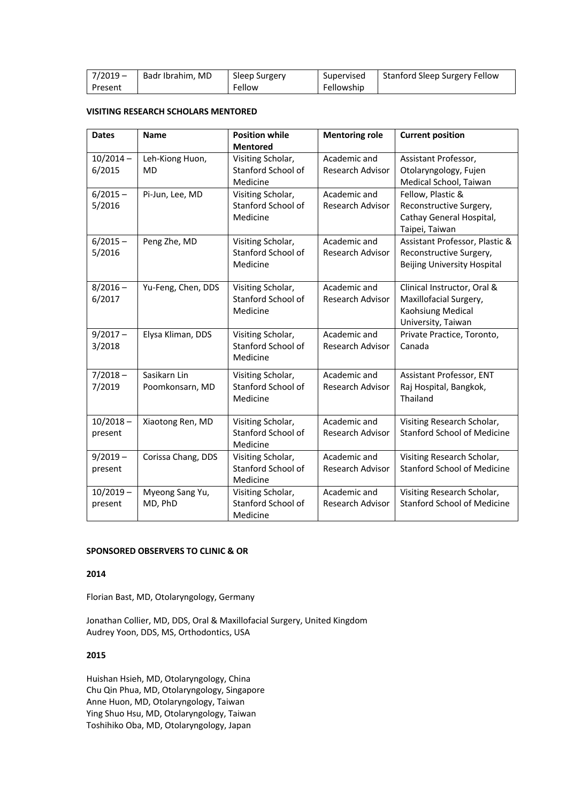| $7/2019 -$ | Badr Ibrahim, MD | Sleep Surgery | Supervised | Stanford Sleep Surgery Fellow |
|------------|------------------|---------------|------------|-------------------------------|
| Present    |                  | Fellow        | Fellowship |                               |

## **VISITING RESEARCH SCHOLARS MENTORED**

| <b>Dates</b>           | <b>Name</b>                     | <b>Position while</b>                               | <b>Mentoring role</b>                   | <b>Current position</b>                                                                          |
|------------------------|---------------------------------|-----------------------------------------------------|-----------------------------------------|--------------------------------------------------------------------------------------------------|
| $10/2014 -$            | Leh-Kiong Huon,                 | <b>Mentored</b><br>Visiting Scholar,                | Academic and                            | Assistant Professor,                                                                             |
| 6/2015                 | MD                              | Stanford School of<br>Medicine                      | <b>Research Advisor</b>                 | Otolaryngology, Fujen<br>Medical School, Taiwan                                                  |
| $6/2015 -$<br>5/2016   | Pi-Jun, Lee, MD                 | Visiting Scholar,<br>Stanford School of<br>Medicine | Academic and<br><b>Research Advisor</b> | Fellow, Plastic &<br>Reconstructive Surgery,<br>Cathay General Hospital,<br>Taipei, Taiwan       |
| $6/2015 -$<br>5/2016   | Peng Zhe, MD                    | Visiting Scholar,<br>Stanford School of<br>Medicine | Academic and<br>Research Advisor        | Assistant Professor, Plastic &<br>Reconstructive Surgery,<br><b>Beijing University Hospital</b>  |
| $8/2016 -$<br>6/2017   | Yu-Feng, Chen, DDS              | Visiting Scholar,<br>Stanford School of<br>Medicine | Academic and<br>Research Advisor        | Clinical Instructor, Oral &<br>Maxillofacial Surgery,<br>Kaohsiung Medical<br>University, Taiwan |
| $9/2017 -$<br>3/2018   | Elysa Kliman, DDS               | Visiting Scholar,<br>Stanford School of<br>Medicine | Academic and<br>Research Advisor        | Private Practice, Toronto,<br>Canada                                                             |
| $7/2018 -$<br>7/2019   | Sasikarn Lin<br>Poomkonsarn, MD | Visiting Scholar,<br>Stanford School of<br>Medicine | Academic and<br>Research Advisor        | Assistant Professor, ENT<br>Raj Hospital, Bangkok,<br>Thailand                                   |
| $10/2018 -$<br>present | Xiaotong Ren, MD                | Visiting Scholar,<br>Stanford School of<br>Medicine | Academic and<br>Research Advisor        | Visiting Research Scholar,<br><b>Stanford School of Medicine</b>                                 |
| $9/2019 -$<br>present  | Corissa Chang, DDS              | Visiting Scholar,<br>Stanford School of<br>Medicine | Academic and<br>Research Advisor        | Visiting Research Scholar,<br>Stanford School of Medicine                                        |
| $10/2019 -$<br>present | Myeong Sang Yu,<br>MD, PhD      | Visiting Scholar,<br>Stanford School of<br>Medicine | Academic and<br>Research Advisor        | Visiting Research Scholar,<br><b>Stanford School of Medicine</b>                                 |

## **SPONSORED OBSERVERS TO CLINIC & OR**

## **2014**

Florian Bast, MD, Otolaryngology, Germany

Jonathan Collier, MD, DDS, Oral & Maxillofacial Surgery, United Kingdom Audrey Yoon, DDS, MS, Orthodontics, USA

### **2015**

Huishan Hsieh, MD, Otolaryngology, China Chu Qin Phua, MD, Otolaryngology, Singapore Anne Huon, MD, Otolaryngology, Taiwan Ying Shuo Hsu, MD, Otolaryngology, Taiwan Toshihiko Oba, MD, Otolaryngology, Japan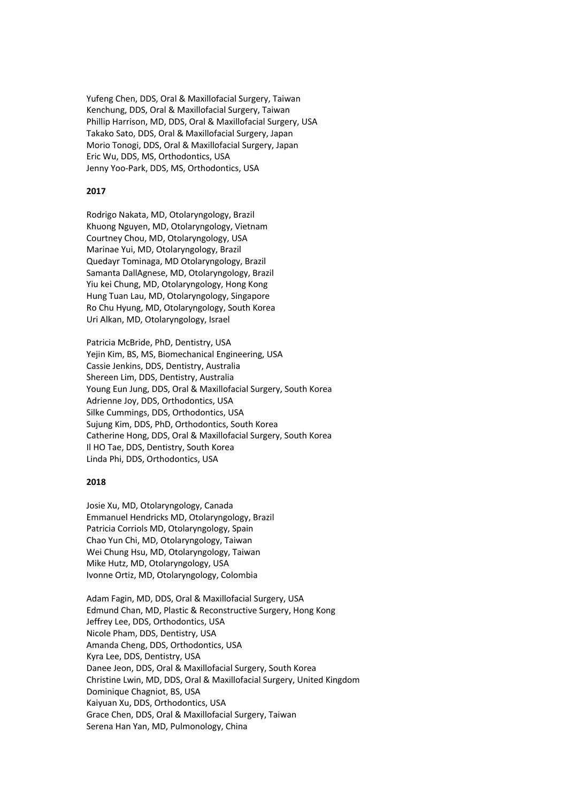Yufeng Chen, DDS, Oral & Maxillofacial Surgery, Taiwan Kenchung, DDS, Oral & Maxillofacial Surgery, Taiwan Phillip Harrison, MD, DDS, Oral & Maxillofacial Surgery, USA Takako Sato, DDS, Oral & Maxillofacial Surgery, Japan Morio Tonogi, DDS, Oral & Maxillofacial Surgery, Japan Eric Wu, DDS, MS, Orthodontics, USA Jenny Yoo-Park, DDS, MS, Orthodontics, USA

#### **2017**

Rodrigo Nakata, MD, Otolaryngology, Brazil Khuong Nguyen, MD, Otolaryngology, Vietnam Courtney Chou, MD, Otolaryngology, USA Marinae Yui, MD, Otolaryngology, Brazil Quedayr Tominaga, MD Otolaryngology, Brazil Samanta DallAgnese, MD, Otolaryngology, Brazil Yiu kei Chung, MD, Otolaryngology, Hong Kong Hung Tuan Lau, MD, Otolaryngology, Singapore Ro Chu Hyung, MD, Otolaryngology, South Korea Uri Alkan, MD, Otolaryngology, Israel

Patricia McBride, PhD, Dentistry, USA Yejin Kim, BS, MS, Biomechanical Engineering, USA Cassie Jenkins, DDS, Dentistry, Australia Shereen Lim, DDS, Dentistry, Australia Young Eun Jung, DDS, Oral & Maxillofacial Surgery, South Korea Adrienne Joy, DDS, Orthodontics, USA Silke Cummings, DDS, Orthodontics, USA Sujung Kim, DDS, PhD, Orthodontics, South Korea Catherine Hong, DDS, Oral & Maxillofacial Surgery, South Korea Il HO Tae, DDS, Dentistry, South Korea Linda Phi, DDS, Orthodontics, USA

#### **2018**

Josie Xu, MD, Otolaryngology, Canada Emmanuel Hendricks MD, Otolaryngology, Brazil Patricia Corriols MD, Otolaryngology, Spain Chao Yun Chi, MD, Otolaryngology, Taiwan Wei Chung Hsu, MD, Otolaryngology, Taiwan Mike Hutz, MD, Otolaryngology, USA Ivonne Ortiz, MD, Otolaryngology, Colombia

Adam Fagin, MD, DDS, Oral & Maxillofacial Surgery, USA Edmund Chan, MD, Plastic & Reconstructive Surgery, Hong Kong Jeffrey Lee, DDS, Orthodontics, USA Nicole Pham, DDS, Dentistry, USA Amanda Cheng, DDS, Orthodontics, USA Kyra Lee, DDS, Dentistry, USA Danee Jeon, DDS, Oral & Maxillofacial Surgery, South Korea Christine Lwin, MD, DDS, Oral & Maxillofacial Surgery, United Kingdom Dominique Chagniot, BS, USA Kaiyuan Xu, DDS, Orthodontics, USA Grace Chen, DDS, Oral & Maxillofacial Surgery, Taiwan Serena Han Yan, MD, Pulmonology, China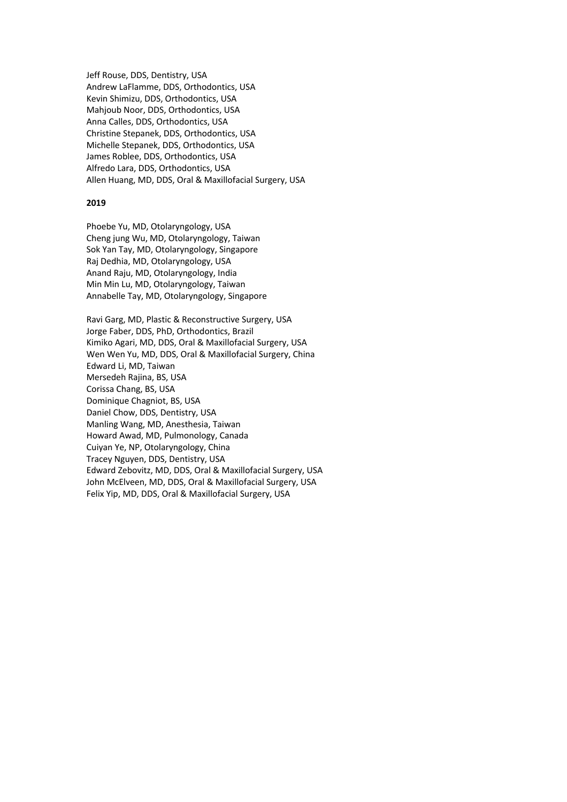Jeff Rouse, DDS, Dentistry, USA Andrew LaFlamme, DDS, Orthodontics, USA Kevin Shimizu, DDS, Orthodontics, USA Mahjoub Noor, DDS, Orthodontics, USA Anna Calles, DDS, Orthodontics, USA Christine Stepanek, DDS, Orthodontics, USA Michelle Stepanek, DDS, Orthodontics, USA James Roblee, DDS, Orthodontics, USA Alfredo Lara, DDS, Orthodontics, USA Allen Huang, MD, DDS, Oral & Maxillofacial Surgery, USA

### **2019**

Phoebe Yu, MD, Otolaryngology, USA Cheng jung Wu, MD, Otolaryngology, Taiwan Sok Yan Tay, MD, Otolaryngology, Singapore Raj Dedhia, MD, Otolaryngology, USA Anand Raju, MD, Otolaryngology, India Min Min Lu, MD, Otolaryngology, Taiwan Annabelle Tay, MD, Otolaryngology, Singapore

Ravi Garg, MD, Plastic & Reconstructive Surgery, USA Jorge Faber, DDS, PhD, Orthodontics, Brazil Kimiko Agari, MD, DDS, Oral & Maxillofacial Surgery, USA Wen Wen Yu, MD, DDS, Oral & Maxillofacial Surgery, China Edward Li, MD, Taiwan Mersedeh Rajina, BS, USA Corissa Chang, BS, USA Dominique Chagniot, BS, USA Daniel Chow, DDS, Dentistry, USA Manling Wang, MD, Anesthesia, Taiwan Howard Awad, MD, Pulmonology, Canada Cuiyan Ye, NP, Otolaryngology, China Tracey Nguyen, DDS, Dentistry, USA Edward Zebovitz, MD, DDS, Oral & Maxillofacial Surgery, USA John McElveen, MD, DDS, Oral & Maxillofacial Surgery, USA Felix Yip, MD, DDS, Oral & Maxillofacial Surgery, USA